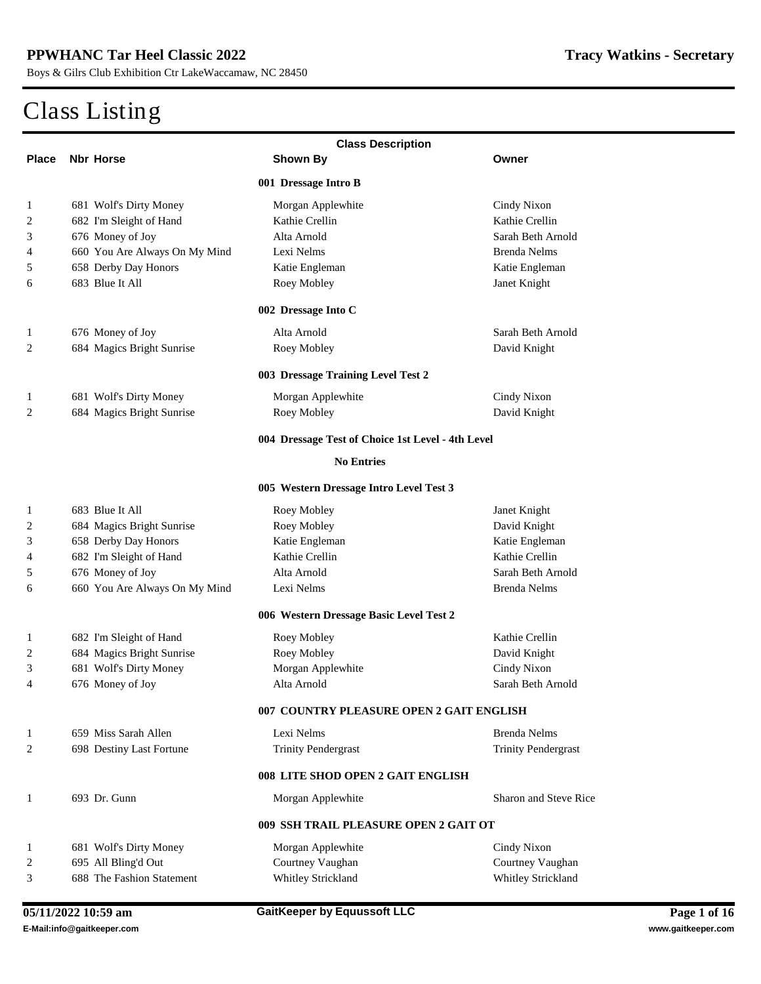|                  | <b>Class Description</b>         |                                                   |                              |  |  |
|------------------|----------------------------------|---------------------------------------------------|------------------------------|--|--|
| <b>Place</b>     | <b>Nbr Horse</b>                 | Shown By                                          | Owner                        |  |  |
|                  |                                  | 001 Dressage Intro B                              |                              |  |  |
| 1                | <b>681 Wolf's Dirty Money</b>    | <b>Morgan Applewhite</b>                          | <b>Cindy Nixon</b>           |  |  |
| 2                | 682 I'm Sleight of Hand          | <b>Kathie Crellin</b>                             | <b>Kathie Crellin</b>        |  |  |
| 3                | 676 Money of Joy                 | Alta Amold                                        | <b>Sarah Beth Arnold</b>     |  |  |
| 4                | 660 You Are Always On My Mind    | Lexi Nelms                                        | <b>Brenda Nelms</b>          |  |  |
| 5                | <b>658 Derby Day Honors</b>      | <b>Katie Engleman</b>                             | Katie Engleman               |  |  |
| 6                | 683 Blue It All                  | <b>Roey Mobley</b>                                | <b>Janet Knight</b>          |  |  |
|                  |                                  | 002 Dressage Into C                               |                              |  |  |
| 1                | 676 Money of Joy                 | Alta Amold                                        | <b>Sarah Beth Arnold</b>     |  |  |
| 2                | <b>684 Magics Bright Sunrise</b> | <b>Roey Mobley</b>                                | <b>David Knight</b>          |  |  |
|                  |                                  | 003 Dressage Training Level Test 2                |                              |  |  |
| 1                | <b>681 Wolf's Dirty Money</b>    | <b>Morgan Applewhite</b>                          | <b>Cindy Nixon</b>           |  |  |
| 2                | <b>684 Magics Bright Sunrise</b> | <b>Roey Mobley</b>                                | <b>David Knight</b>          |  |  |
|                  |                                  | 004 Dressage Test of Choice 1st Level - 4th Level |                              |  |  |
|                  |                                  | <b>No Entries</b>                                 |                              |  |  |
|                  |                                  | 005 Western Dressage Intro Level Test 3           |                              |  |  |
| 1                | 683 Blue It All                  | <b>Roey Mobley</b>                                | <b>Janet Knight</b>          |  |  |
| $\boldsymbol{2}$ | 684 Magics Bright Sunrise        | <b>Roey Mobley</b>                                | <b>David Knight</b>          |  |  |
| 3                | <b>658 Derby Day Honors</b>      | <b>Katie Engleman</b>                             | Katie Engleman               |  |  |
| 4                | 682 I'm Sleight of Hand          | <b>Kathie Crellin</b>                             | <b>Kathie Crellin</b>        |  |  |
| 5                | 676 Money of Joy                 | Alta Amold                                        | Sarah Beth Amold             |  |  |
| 6                | 660 You Are Always On My Mind    | <b>Lexi Nelms</b>                                 | <b>Brenda Nelms</b>          |  |  |
|                  |                                  | 006 Western Dressage Basic Level Test 2           |                              |  |  |
| 1                | 682 I'm Sleight of Hand          | <b>Roey Mobley</b>                                | <b>Kathie Crellin</b>        |  |  |
| 2                | <b>684 Magics Bright Sunrise</b> | <b>Roey Mobley</b>                                | <b>David Knight</b>          |  |  |
| 3                | <b>681 Wolf's Dirty Money</b>    | <b>Morgan Applewhite</b>                          | <b>Cindy Nixon</b>           |  |  |
| 4                | 676 Money of Joy                 | Alta Amold                                        | Sarah Beth Arnold            |  |  |
|                  |                                  | 007 COUNTRY PLEASURE OPEN 2 GAIT ENGLISH          |                              |  |  |
| 1                | 659 Miss Sarah Allen             | <b>Lexi Nelms</b>                                 | <b>Brenda Nelms</b>          |  |  |
| $\mathbf{2}$     | <b>698 Destiny Last Fortune</b>  | <b>Trinity Pendergrast</b>                        | <b>Trinity Pendergrast</b>   |  |  |
|                  |                                  | 008 LITE SHOD OPEN 2 GAIT ENGLISH                 |                              |  |  |
| 1                | 693 Dr. Gunn                     | <b>Morgan Applewhite</b>                          | <b>Sharon and Steve Rice</b> |  |  |
|                  |                                  | 009 SSH TRAIL PLEASURE OPEN 2 GAIT OT             |                              |  |  |
| 1                | <b>681 Wolf's Dirty Money</b>    | <b>Morgan Applewhite</b>                          | <b>Cindy Nixon</b>           |  |  |
| 2                | 695 All Bling'd Out              | <b>Courtney Vaughan</b>                           | <b>Courtney Vaughan</b>      |  |  |
| 3                | <b>688 The Fashion Statement</b> | <b>Whitley Strickland</b>                         | <b>Whitley Strickland</b>    |  |  |
|                  |                                  |                                                   |                              |  |  |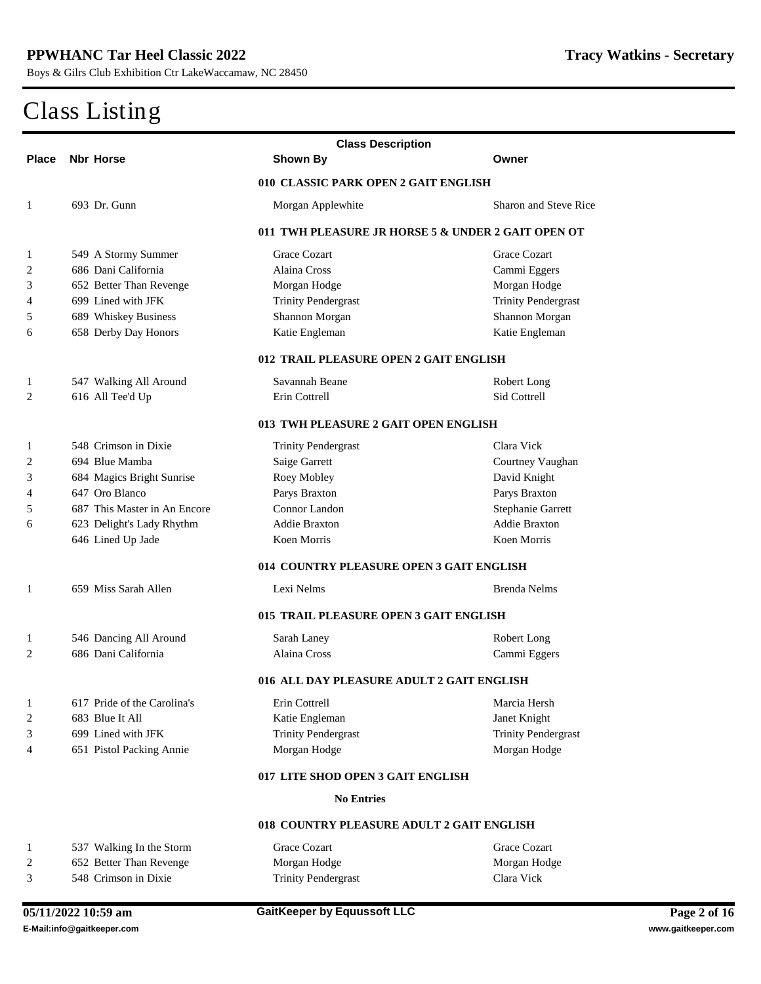| <b>Class Description</b> |                                      |                                                    |                              |  |
|--------------------------|--------------------------------------|----------------------------------------------------|------------------------------|--|
| <b>Place</b>             | <b>Nbr Horse</b>                     | <b>Shown By</b>                                    | Owner                        |  |
|                          |                                      | 010 CLASSIC PARK OPEN 2 GAIT ENGLISH               |                              |  |
| 1                        | 693 Dr. Gunn                         | <b>Morgan Applewhite</b>                           | <b>Sharon and Steve Rice</b> |  |
|                          |                                      | 011 TWH PLEASURE JR HORSE 5 & UNDER 2 GAIT OPEN OT |                              |  |
| 1                        | 549 A Stormy Summer                  | <b>Grace Cozart</b>                                | <b>Grace Cozart</b>          |  |
| 2                        | 686 Dani California                  | <b>Alaina Cross</b>                                | <b>Cammi Eggers</b>          |  |
| 3                        | <b>652 Better Than Revenge</b>       | <b>Morgan Hodge</b>                                | <b>Morgan Hodge</b>          |  |
| 4                        | 699 Lined with JFK                   | <b>Trinity Pendergrast</b>                         | <b>Trinity Pendergrast</b>   |  |
| 5                        | <b>689 Whiskey Business</b>          | <b>Shannon Morgan</b>                              | <b>Shannon Morgan</b>        |  |
| 6                        | <b>658 Derby Day Honors</b>          | Katie Engleman                                     | Katie Engleman               |  |
|                          |                                      | 012 TRAIL PLEASURE OPEN 2 GAIT ENGLISH             |                              |  |
| 1                        | 547 Walking All Around               | <b>Savannah Beane</b>                              | <b>Robert Long</b>           |  |
| 2                        | 616 All Tee'd Up                     | <b>Erin Cottrell</b>                               | <b>Sid Cottrell</b>          |  |
|                          | 013 TWH PLEASURE 2 GAIT OPEN ENGLISH |                                                    |                              |  |
| 1                        | 548 Crimson in Dixie                 | <b>Trinity Pendergrast</b>                         | <b>Clara Vick</b>            |  |
| 2                        | 694 Blue Mamba                       | <b>Saige Garrett</b>                               | <b>Courtney Vaughan</b>      |  |
| 3                        | 684 Magics Bright Sunrise            | <b>Roey Mobley</b>                                 | <b>David Knight</b>          |  |
| 4                        | 647 Oro Blanco                       | Parys Braxton                                      | <b>Parys Braxton</b>         |  |
| 5                        | 687 This Master in An Encore         | <b>Connor Landon</b>                               | <b>Stephanie Garrett</b>     |  |
| 6                        | 623 Delight's Lady Rhythm            | <b>Addie Braxton</b>                               | <b>Addie Braxton</b>         |  |
|                          | 646 Lined Up Jade                    | <b>Koen Morris</b>                                 | <b>Koen Morris</b>           |  |
|                          |                                      | 014 COUNTRY PLEASURE OPEN 3 GAIT ENGLISH           |                              |  |
| 1                        | 659 Miss Sarah Allen                 | <b>Lexi Nelms</b>                                  | <b>Brenda Nelms</b>          |  |
|                          |                                      | 015 TRAIL PLEASURE OPEN 3 GAIT ENGLISH             |                              |  |
| 1                        | 546 Dancing All Around               | <b>Sarah Laney</b>                                 | <b>Robert Long</b>           |  |
| 2                        | 686 Dani California                  | <b>Alaina Cross</b>                                | <b>Cammi Eggers</b>          |  |
|                          |                                      | 016 ALL DAY PLEASURE ADULT 2 GAIT ENGLISH          |                              |  |
| 1                        | 617 Pride of the Carolina's          | <b>Erin Cottrell</b>                               | <b>Marcia Hersh</b>          |  |
| $\boldsymbol{2}$         | 683 Blue It All                      | Katie Engleman                                     | <b>Janet Knight</b>          |  |
| 3                        | 699 Lined with JFK                   | <b>Trinity Pendergrast</b>                         | <b>Trinity Pendergrast</b>   |  |
| 4                        | 651 Pistol Packing Annie             | <b>Morgan Hodge</b>                                | <b>Morgan Hodge</b>          |  |
|                          |                                      | 017 LITE SHOD OPEN 3 GAIT ENGLISH                  |                              |  |
|                          |                                      | <b>No Entries</b>                                  |                              |  |
|                          |                                      | 018 COUNTRY PLEASURE ADULT 2 GAIT ENGLISH          |                              |  |
| 1                        | 537 Walking In the Storm             | <b>Grace Cozart</b>                                | <b>Grace Cozart</b>          |  |
| $\boldsymbol{2}$         | <b>652 Better Than Revenge</b>       | <b>Morgan Hodge</b>                                | <b>Morgan Hodge</b>          |  |
| 3                        | 548 Crimson in Dixie                 | <b>Trinity Pendergrast</b>                         | <b>Clara Vick</b>            |  |
|                          |                                      |                                                    |                              |  |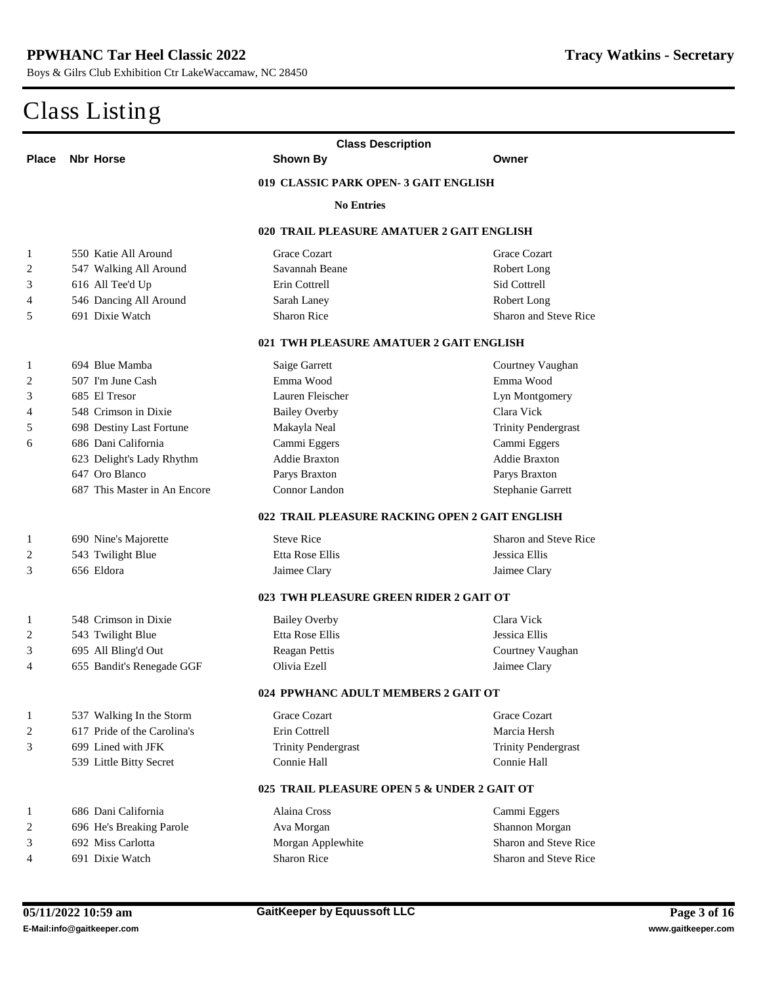| <b>Class Description</b> |                                 |                                                |                              |  |
|--------------------------|---------------------------------|------------------------------------------------|------------------------------|--|
| <b>Place</b>             | <b>Nbr Horse</b>                | <b>Shown By</b>                                | Owner                        |  |
|                          |                                 | 019 CLASSIC PARK OPEN-3 GAIT ENGLISH           |                              |  |
|                          |                                 | <b>No Entries</b>                              |                              |  |
|                          |                                 | 020 TRAIL PLEASURE AMATUER 2 GAIT ENGLISH      |                              |  |
| 1                        | 550 Katie All Around            | <b>Grace Cozart</b>                            | <b>Grace Cozart</b>          |  |
| 2                        | 547 Walking All Around          | <b>Savannah Beane</b>                          | <b>Robert Long</b>           |  |
| 3                        | 616 All Tee'd Up                | <b>Erin Cottrell</b>                           | <b>Sid Cottrell</b>          |  |
| 4                        | 546 Dancing All Around          | <b>Sarah Laney</b>                             | <b>Robert Long</b>           |  |
| 5                        | 691 Dixie Watch                 | <b>Sharon Rice</b>                             | <b>Sharon and Steve Rice</b> |  |
|                          |                                 |                                                |                              |  |
|                          |                                 | 021 TWH PLEASURE AMATUER 2 GAIT ENGLISH        |                              |  |
| 1                        | 694 Blue Mamba                  | <b>Saige Garrett</b>                           | <b>Courtney Vaughan</b>      |  |
| 2                        | 507 I'm June Cash               | Emma Wood                                      | Emma Wood                    |  |
| 3                        | 685 El Tresor                   | <b>Lauren Fleischer</b>                        | <b>Lyn Montgomery</b>        |  |
| 4                        | 548 Crimson in Dixie            | <b>Bailey Overby</b>                           | <b>Clara Vick</b>            |  |
| 5                        | <b>698 Destiny Last Fortune</b> | Makayla Neal                                   | <b>Trinity Pendergrast</b>   |  |
| 6                        | 686 Dani California             | <b>Cammi Eggers</b>                            | <b>Cammi Eggers</b>          |  |
|                          | 623 Delight's Lady Rhythm       | <b>Addie Braxton</b>                           | <b>Addie Braxton</b>         |  |
|                          | 647 Oro Blanco                  | Parys Braxton                                  | <b>Parys Braxton</b>         |  |
|                          | 687 This Master in An Encore    | <b>Connor Landon</b>                           | <b>Stephanie Garrett</b>     |  |
|                          |                                 | 022 TRAIL PLEASURE RACKING OPEN 2 GAIT ENGLISH |                              |  |
| 1                        | 690 Nine's Majorette            | <b>Steve Rice</b>                              | <b>Sharon and Steve Rice</b> |  |
| 2                        | 543 Twilight Blue               | <b>Etta Rose Ellis</b>                         | <b>Jessica Ellis</b>         |  |
| 3                        | 656 Eldora                      | <b>Jaimee Clary</b>                            | <b>Jaimee Clary</b>          |  |
|                          |                                 | 023 TWH PLEASURE GREEN RIDER 2 GAIT OT         |                              |  |
| 1                        | 548 Crimson in Dixie            | <b>Bailey Overby</b>                           | <b>Clara Vick</b>            |  |
| 2                        | 543 Twilight Blue               | <b>Etta Rose Ellis</b>                         | <b>Jessica Ellis</b>         |  |
| 3                        | 695 All Bling'd Out             | <b>Reagan Pettis</b>                           | <b>Courtney Vaughan</b>      |  |
| 4                        | 655 Bandit's Renegade GGF       | <b>Olivia Ezell</b>                            | <b>Jaimee Clary</b>          |  |
|                          |                                 | 024 PPWHANC ADULT MEMBERS 2 GAIT OT            |                              |  |
| 1                        | 537 Walking In the Storm        | <b>Grace Cozart</b>                            | <b>Grace Cozart</b>          |  |
| 2                        | 617 Pride of the Carolina's     | <b>Erin Cottrell</b>                           | <b>Marcia Hersh</b>          |  |
| 3                        | 699 Lined with JFK              | <b>Trinity Pendergrast</b>                     | <b>Trinity Pendergrast</b>   |  |
|                          | 539 Little Bitty Secret         | <b>Connie Hall</b>                             | <b>Connie Hall</b>           |  |
|                          |                                 | 025 TRAIL PLEASURE OPEN 5 & UNDER 2 GAIT OT    |                              |  |
| 1                        | 686 Dani California             | <b>Alaina Cross</b>                            | <b>Cammi Eggers</b>          |  |
| 2                        | 696 He's Breaking Parole        | <b>Ava Morgan</b>                              | <b>Shannon Morgan</b>        |  |
| 3                        | 692 Miss Carlotta               | <b>Morgan Applewhite</b>                       | <b>Sharon and Steve Rice</b> |  |
| 4                        | 691 Dixie Watch                 | <b>Sharon Rice</b>                             | <b>Sharon and Steve Rice</b> |  |
|                          |                                 |                                                |                              |  |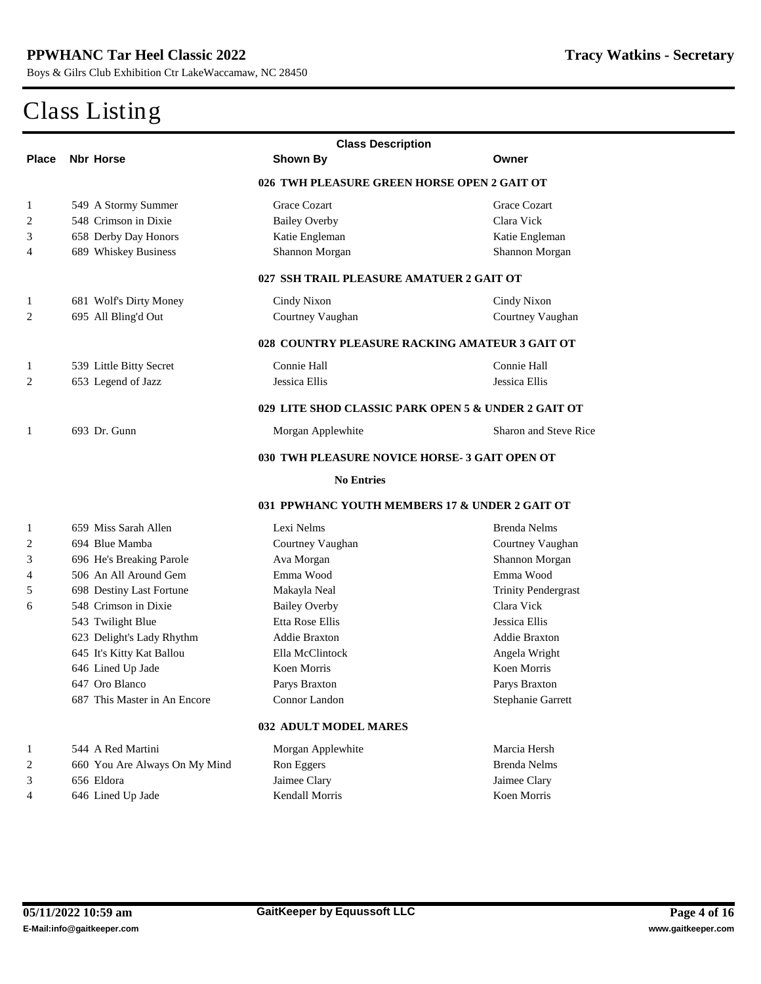|              | <b>Class Description</b>                       |                                                     |                              |  |  |
|--------------|------------------------------------------------|-----------------------------------------------------|------------------------------|--|--|
| <b>Place</b> | <b>Nbr Horse</b>                               | <b>Shown By</b>                                     | Owner                        |  |  |
|              |                                                | 026 TWH PLEASURE GREEN HORSE OPEN 2 GAIT OT         |                              |  |  |
| 1            | 549 A Stormy Summer                            | <b>Grace Cozart</b>                                 | <b>Grace Cozart</b>          |  |  |
| 2            | 548 Crimson in Dixie                           | <b>Bailey Overby</b>                                | <b>Clara Vick</b>            |  |  |
| 3            | <b>658 Derby Day Honors</b>                    | <b>Katie Engleman</b>                               | Katie Engleman               |  |  |
| 4            | <b>689 Whiskey Business</b>                    | <b>Shannon Morgan</b>                               | <b>Shannon Morgan</b>        |  |  |
|              | 027 SSH TRAIL PLEASURE AMATUER 2 GAIT OT       |                                                     |                              |  |  |
| 1            | <b>681 Wolf's Dirty Money</b>                  | <b>Cindy Nixon</b>                                  | <b>Cindy Nixon</b>           |  |  |
| $\mathbf{2}$ | 695 All Bling'd Out                            | <b>Courtney Vaughan</b>                             | <b>Courtney Vaughan</b>      |  |  |
|              | 028 COUNTRY PLEASURE RACKING AMATEUR 3 GAIT OT |                                                     |                              |  |  |
| 1            | 539 Little Bitty Secret                        | <b>Connie Hall</b>                                  | <b>Connie Hall</b>           |  |  |
| 2            | 653 Legend of Jazz                             | <b>Jessica Ellis</b>                                | <b>Jessica Ellis</b>         |  |  |
|              |                                                | 029 LITE SHOD CLASSIC PARK OPEN 5 & UNDER 2 GAIT OT |                              |  |  |
| 1            | 693 Dr. Gunn                                   | <b>Morgan Applewhite</b>                            | <b>Sharon and Steve Rice</b> |  |  |
|              | 030 TWH PLEASURE NOVICE HORSE-3 GAIT OPEN OT   |                                                     |                              |  |  |
|              |                                                | <b>No Entries</b>                                   |                              |  |  |
|              |                                                | 031 PPWHANC YOUTH MEMBERS 17 & UNDER 2 GAIT OT      |                              |  |  |
| 1            | 659 Miss Sarah Allen                           | <b>Lexi Nelms</b>                                   | <b>Brenda Nelms</b>          |  |  |
| 2            | 694 Blue Mamba                                 | <b>Courtney Vaughan</b>                             | <b>Courtney Vaughan</b>      |  |  |
| 3            | 696 He's Breaking Parole                       | <b>Ava Morgan</b>                                   | <b>Shannon Morgan</b>        |  |  |
| 4            | 506 An All Around Gem                          | Emma Wood                                           | Emma Wood                    |  |  |
| 5            | <b>698 Destiny Last Fortune</b>                | Makayla Neal                                        | <b>Trinity Pendergrast</b>   |  |  |
| 6            | 548 Crimson in Dixie                           | <b>Bailey Overby</b>                                | <b>Clara Vick</b>            |  |  |
|              | 543 Twilight Blue                              | <b>Etta Rose Ellis</b>                              | <b>Jessica Ellis</b>         |  |  |
|              | 623 Delight's Lady Rhythm                      | <b>Addie Braxton</b>                                | <b>Addie Braxton</b>         |  |  |
|              | 645 It's Kitty Kat Ballou                      | <b>Ella McClintock</b>                              | <b>Angela Wright</b>         |  |  |
|              | 646 Lined Up Jade                              | <b>Koen Morris</b>                                  | <b>Koen Morris</b>           |  |  |
|              | 647 Oro Blanco                                 | <b>Parys Braxton</b>                                | <b>Parys Braxton</b>         |  |  |
|              | 687 This Master in An Encore                   | <b>Connor Landon</b>                                | <b>Stephanie Garrett</b>     |  |  |
|              |                                                | <b>032 ADULT MODEL MARES</b>                        |                              |  |  |
| 1            | 544 A Red Martini                              | <b>Morgan Applewhite</b>                            | <b>Marcia Hersh</b>          |  |  |
| 2            | 660 You Are Always On My Mind                  | <b>Ron Eggers</b>                                   | <b>Brenda Nelms</b>          |  |  |
| 3            | 656 Eldora                                     | <b>Jaimee Clary</b>                                 | <b>Jaimee Clary</b>          |  |  |
| 4            | 646 Lined Up Jade                              | <b>Kendall Morris</b>                               | <b>Koen Morris</b>           |  |  |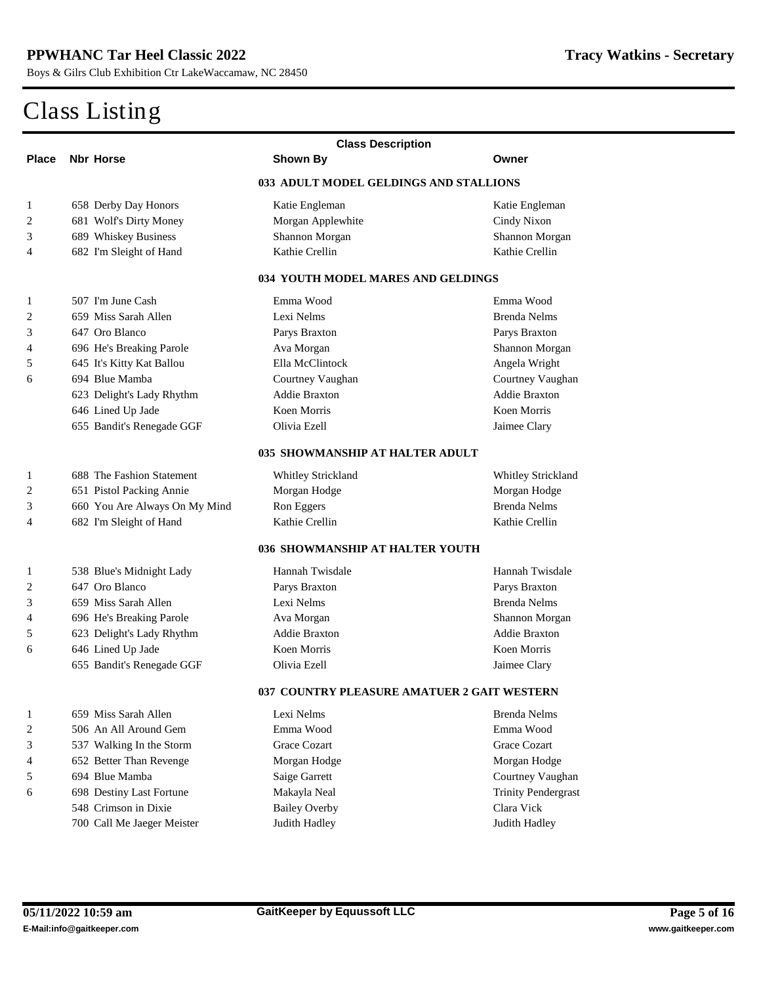|              | <b>Class Description</b>         |                                               |                            |  |
|--------------|----------------------------------|-----------------------------------------------|----------------------------|--|
| <b>Place</b> | <b>Nbr Horse</b>                 | <b>Shown By</b>                               | Owner                      |  |
|              |                                  | <b>033 ADULT MODEL GELDINGS AND STALLIONS</b> |                            |  |
| 1            | <b>658 Derby Day Honors</b>      | <b>Katie Engleman</b>                         | <b>Katie Engleman</b>      |  |
| 2            | <b>681 Wolf's Dirty Money</b>    | <b>Morgan Applewhite</b>                      | <b>Cindy Nixon</b>         |  |
| 3            | <b>689 Whiskey Business</b>      | <b>Shannon Morgan</b>                         | <b>Shannon Morgan</b>      |  |
| 4            | 682 I'm Sleight of Hand          | <b>Kathie Crellin</b>                         | <b>Kathie Crellin</b>      |  |
|              |                                  | 034 YOUTH MODEL MARES AND GELDINGS            |                            |  |
| 1            | 507 I'm June Cash                | Emma Wood                                     | Emma Wood                  |  |
| 2            | 659 Miss Sarah Allen             | <b>Lexi Nelms</b>                             | <b>Brenda Nelms</b>        |  |
| 3            | 647 Oro Blanco                   | <b>Parys Braxton</b>                          | <b>Parys Braxton</b>       |  |
| 4            | 696 He's Breaking Parole         | <b>Ava Morgan</b>                             | <b>Shannon Morgan</b>      |  |
| 5            | 645 It's Kitty Kat Ballou        | <b>Ella McClintock</b>                        | <b>Angela Wright</b>       |  |
| 6            | 694 Blue Mamba                   | <b>Courtney Vaughan</b>                       | <b>Courtney Vaughan</b>    |  |
|              | 623 Delight's Lady Rhythm        | <b>Addie Braxton</b>                          | <b>Addie Braxton</b>       |  |
|              | 646 Lined Up Jade                | <b>Koen Momis</b>                             | <b>Koen Momis</b>          |  |
|              | 655 Bandit's Renegade GGF        | <b>Olivia Ezell</b>                           | <b>Jaimee Clary</b>        |  |
|              |                                  | 035 SHOWMANSHIP AT HALTER ADULT               |                            |  |
| 1            | <b>688 The Fashion Statement</b> | <b>Whitley Strickland</b>                     | <b>Whitley Strickland</b>  |  |
| 2            | <b>651 Pistol Packing Annie</b>  | <b>Morgan Hodge</b>                           | <b>Morgan Hodge</b>        |  |
| 3            | 660 You Are Always On My Mind    | <b>Ron Eggers</b>                             | <b>Brenda Nelms</b>        |  |
| 4            | 682 I'm Sleight of Hand          | <b>Kathie Crellin</b>                         | <b>Kathie Crellin</b>      |  |
|              |                                  | 036 SHOWMANSHIP AT HALTER YOUTH               |                            |  |
| 1            | 538 Blue's Midnight Lady         | <b>Hannah Twisdale</b>                        | <b>Hannah Twisdale</b>     |  |
| 2            | 647 Oro Blanco                   | <b>Parys Braxton</b>                          | <b>Parys Braxton</b>       |  |
| 3            | 659 Miss Sarah Allen             | <b>Lexi Nelms</b>                             | <b>Brenda Nelms</b>        |  |
| 4            | 696 He's Breaking Parole         | <b>Ava Morgan</b>                             | <b>Shannon Morgan</b>      |  |
| 5            | 623 Delight's Lady Rhythm        | <b>Addie Braxton</b>                          | <b>Addie Braxton</b>       |  |
| 6            | 646 Lined Up Jade                | <b>Koen Morris</b>                            | <b>Koen Morris</b>         |  |
|              | 655 Bandit's Renegade GGF        | <b>Olivia Ezell</b>                           | <b>Jaimee Clary</b>        |  |
|              |                                  | 037 COUNTRY PLEASURE AMATUER 2 GAIT WESTERN   |                            |  |
| 1            | 659 Miss Sarah Allen             | Lexi Nelms                                    | <b>Brenda Nelms</b>        |  |
| 2            | 506 An All Around Gem            | Emma Wood                                     | Emma Wood                  |  |
| 3            | 537 Walking In the Storm         | <b>Grace Cozart</b>                           | <b>Grace Cozart</b>        |  |
| 4            | <b>652 Better Than Revenge</b>   | <b>Morgan Hodge</b>                           | <b>Morgan Hodge</b>        |  |
| 5            | 694 Blue Mamba                   | <b>Saige Garrett</b>                          | <b>Courtney Vaughan</b>    |  |
| 6            | <b>698 Destiny Last Fortune</b>  | Makayla Neal                                  | <b>Trinity Pendergrast</b> |  |
|              | 548 Crimson in Dixie             | <b>Bailey Overby</b>                          | <b>Clara Vick</b>          |  |
|              | 700 Call Me Jaeger Meister       | <b>Judith Hadley</b>                          | <b>Judith Hadley</b>       |  |
|              |                                  |                                               |                            |  |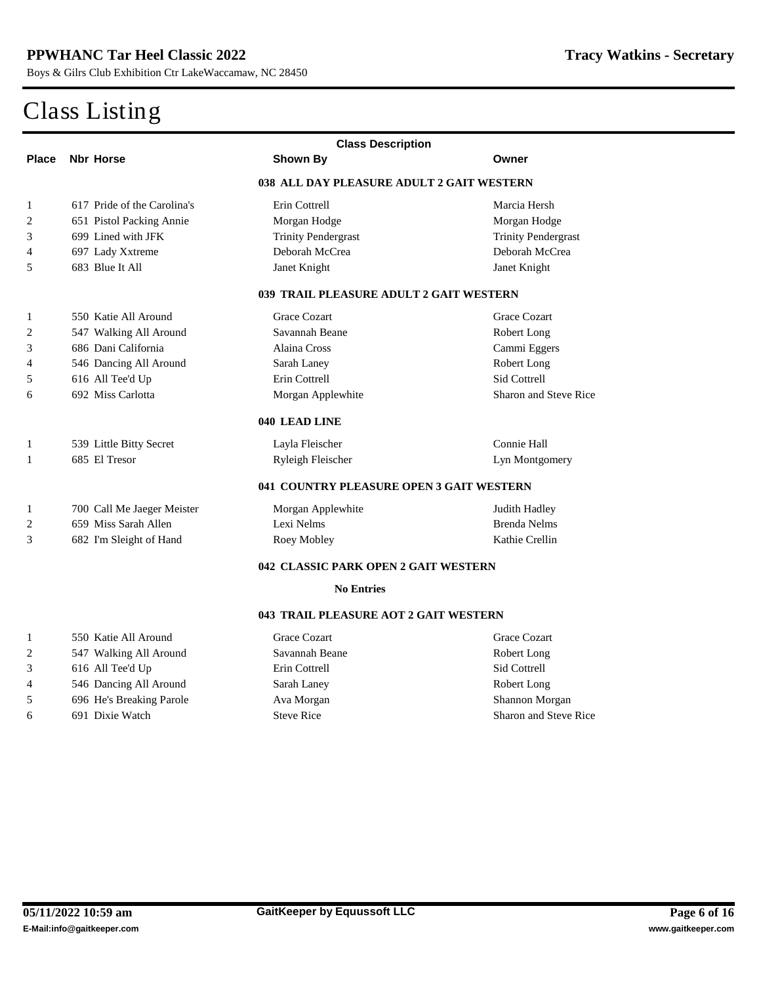|                         | <b>Class Description</b>        |                                           |                              |  |  |
|-------------------------|---------------------------------|-------------------------------------------|------------------------------|--|--|
| <b>Place</b>            | <b>Nbr Horse</b>                | <b>Shown By</b>                           | Owner                        |  |  |
|                         |                                 | 038 ALL DAY PLEASURE ADULT 2 GAIT WESTERN |                              |  |  |
| 1                       | 617 Pride of the Carolina's     | <b>Erin Cottrell</b>                      | Marcia Hersh                 |  |  |
| $\mathbf{2}$            | <b>651 Pistol Packing Annie</b> | <b>Morgan Hodge</b>                       | <b>Morgan Hodge</b>          |  |  |
| 3                       | 699 Lined with JFK              | <b>Trinity Pendergrast</b>                | <b>Trinity Pendergrast</b>   |  |  |
| $\overline{4}$          | 697 Lady Xxtreme                | <b>Deborah McCrea</b>                     | <b>Deborah McCrea</b>        |  |  |
| 5                       | 683 Blue It All                 | <b>Janet Knight</b>                       | <b>Janet Knight</b>          |  |  |
|                         |                                 | 039 TRAIL PLEASURE ADULT 2 GAIT WESTERN   |                              |  |  |
| 1                       | 550 Katie All Around            | <b>Grace Cozart</b>                       | <b>Grace Cozart</b>          |  |  |
| $\mathbf{2}$            | 547 Walking All Around          | <b>Savannah Beane</b>                     | <b>Robert Long</b>           |  |  |
| 3                       | 686 Dani California             | <b>Alaina Cross</b>                       | <b>Cammi Eggers</b>          |  |  |
| $\overline{\mathbf{4}}$ | 546 Dancing All Around          | <b>Sarah Laney</b>                        | <b>Robert Long</b>           |  |  |
| 5                       | 616 All Tee'd Up                | <b>Erin Cottrell</b>                      | <b>Sid Cottrell</b>          |  |  |
| 6                       | 692 Miss Carlotta               | <b>Morgan Applewhite</b>                  | <b>Sharon and Steve Rice</b> |  |  |
|                         |                                 | 040 LEAD LINE                             |                              |  |  |
| 1                       | 539 Little Bitty Secret         | Layla Fleischer                           | <b>Connie Hall</b>           |  |  |
| 1                       | 685 El Tresor                   | <b>Ryleigh Fleischer</b>                  | <b>Lyn Montgomery</b>        |  |  |
|                         |                                 | 041 COUNTRY PLEASURE OPEN 3 GAIT WESTERN  |                              |  |  |
| 1                       | 700 Call Me Jaeger Meister      | <b>Morgan Applewhite</b>                  | <b>Judith Hadley</b>         |  |  |
| $\mathbf{2}$            | 659 Miss Sarah Allen            | <b>Lexi Nelms</b>                         | <b>Brenda Nelms</b>          |  |  |
| 3                       | 682 I'm Sleight of Hand         | <b>Roey Mobley</b>                        | <b>Kathie Crellin</b>        |  |  |
|                         |                                 | 042 CLASSIC PARK OPEN 2 GAIT WESTERN      |                              |  |  |
|                         |                                 | <b>No Entries</b>                         |                              |  |  |
|                         |                                 | 043 TRAIL PLEASURE AOT 2 GAIT WESTERN     |                              |  |  |
| 1                       | 550 Katie All Around            | <b>Grace Cozart</b>                       | <b>Grace Cozart</b>          |  |  |
| $\mathbf{2}$            | 547 Walking All Around          | <b>Savannah Beane</b>                     | <b>Robert Long</b>           |  |  |
| 3                       | 616 All Tee'd Up                | <b>Erin Cottrell</b>                      | <b>Sid Cottrell</b>          |  |  |
| 4                       | 546 Dancing All Around          | <b>Sarah Laney</b>                        | <b>Robert Long</b>           |  |  |
| 5                       | 696 He's Breaking Parole        | <b>Ava Morgan</b>                         | <b>Shannon Morgan</b>        |  |  |
| 6                       | 691 Dixie Watch                 | <b>Steve Rice</b>                         | <b>Sharon and Steve Rice</b> |  |  |
|                         |                                 |                                           |                              |  |  |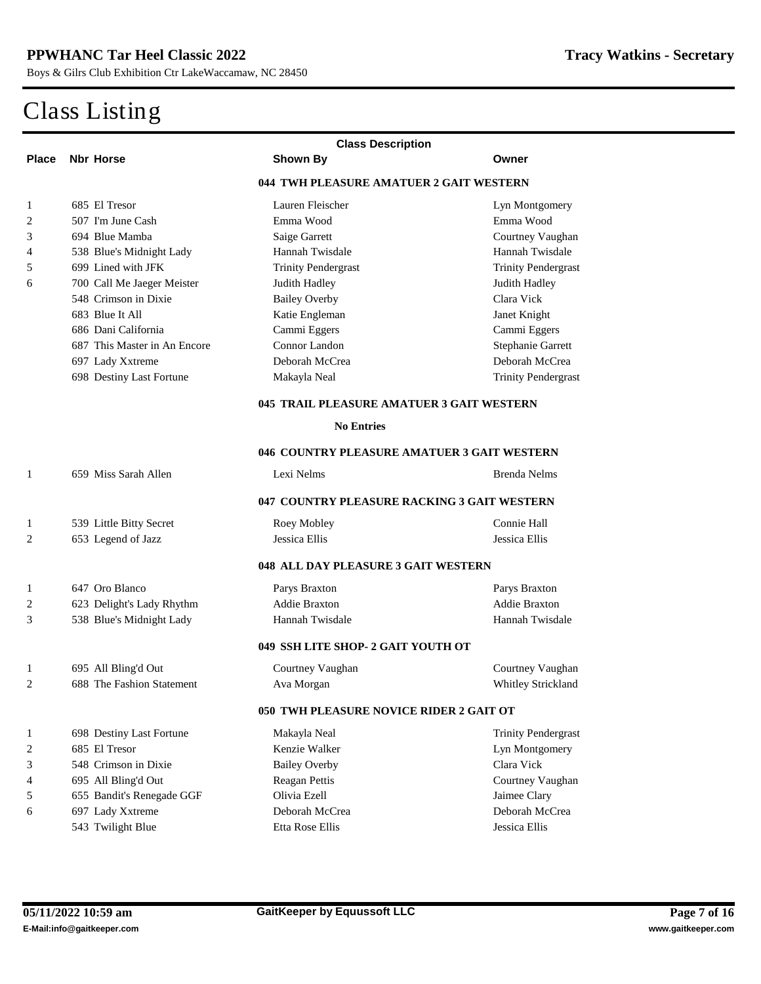| <b>Class Description</b>                    |                                  |                                                |                            |  |
|---------------------------------------------|----------------------------------|------------------------------------------------|----------------------------|--|
| <b>Place</b>                                | <b>Nbr Horse</b>                 | <b>Shown By</b>                                | Owner                      |  |
|                                             |                                  | 044 TWH PLEASURE AMATUER 2 GAIT WESTERN        |                            |  |
| 1                                           | 685 El Tresor                    | <b>Lauren Fleischer</b>                        | <b>Lyn Montgomery</b>      |  |
| 2                                           | 507 I'm June Cash                | Emma Wood                                      | Emma Wood                  |  |
| 3                                           | 694 Blue Mamba                   | <b>Saige Garrett</b>                           | <b>Courtney Vaughan</b>    |  |
| 4                                           | 538 Blue's Midnight Lady         | <b>Hannah Twisdale</b>                         | <b>Hannah Twisdale</b>     |  |
| 5                                           | 699 Lined with JFK               | <b>Trinity Pendergrast</b>                     | <b>Trinity Pendergrast</b> |  |
| 6                                           | 700 Call Me Jaeger Meister       | <b>Judith Hadley</b>                           | <b>Judith Hadley</b>       |  |
|                                             | 548 Crimson in Dixie             | <b>Bailey Overby</b>                           | <b>Clara Vick</b>          |  |
|                                             | 683 Blue It All                  | Katie Engleman                                 | <b>Janet Knight</b>        |  |
|                                             | 686 Dani California              | <b>Cammi Eggers</b>                            | <b>Cammi Eggers</b>        |  |
|                                             | 687 This Master in An Encore     | <b>Connor Landon</b>                           | <b>Stephanie Garrett</b>   |  |
|                                             | 697 Lady Xxtreme                 | <b>Deborah McCrea</b>                          | <b>Deborah McCrea</b>      |  |
|                                             | <b>698 Destiny Last Fortune</b>  | Makayla Neal                                   | <b>Trinity Pendergrast</b> |  |
|                                             |                                  | 045 TRAIL PLEASURE AMATUER 3 GAIT WESTERN      |                            |  |
|                                             |                                  | <b>No Entries</b>                              |                            |  |
| 046 COUNTRY PLEASURE AMATUER 3 GAIT WESTERN |                                  |                                                |                            |  |
| 1                                           | 659 Miss Sarah Allen             | <b>Lexi Nelms</b>                              | <b>Brenda Nelms</b>        |  |
|                                             |                                  | 047 COUNTRY PLEASURE RACKING 3 GAIT WESTERN    |                            |  |
| 1                                           | 539 Little Bitty Secret          | <b>Roey Mobley</b>                             | <b>Connie Hall</b>         |  |
| 2                                           | 653 Legend of Jazz               | <b>Jessica Ellis</b>                           | <b>Jessica Ellis</b>       |  |
|                                             |                                  | 048 ALL DAY PLEASURE 3 GAIT WESTERN            |                            |  |
| 1                                           | 647 Oro Blanco                   | <b>Parys Braxton</b>                           | Parys Braxton              |  |
| 2                                           | 623 Delight's Lady Rhythm        | <b>Addie Braxton</b>                           | <b>Addie Braxton</b>       |  |
| 3                                           | 538 Blue's Midnight Lady         | <b>Hannah Twisdale</b>                         | <b>Hannah Twisdale</b>     |  |
|                                             |                                  | 049 SSH LITE SHOP- 2 GAIT YOUTH OT             |                            |  |
| 1                                           | 695 All Bling'd Out              | <b>Courtney Vaughan</b>                        | <b>Courtney Vaughan</b>    |  |
| 2                                           | <b>688</b> The Fashion Statement | Ava Morgan                                     | <b>Whitley Strickland</b>  |  |
|                                             |                                  | <b>050 TWH PLEASURE NOVICE RIDER 2 GAIT OT</b> |                            |  |
| 1                                           | <b>698 Destiny Last Fortune</b>  | Makayla Neal                                   | <b>Trinity Pendergrast</b> |  |
| 2                                           | 685 El Tresor                    | <b>Kenzie Walker</b>                           | <b>Lyn Montgomery</b>      |  |
| 3                                           | 548 Crimson in Dixie             | <b>Bailey Overby</b>                           | <b>Clara Vick</b>          |  |
| 4                                           | 695 All Bling'd Out              | <b>Reagan Pettis</b>                           | <b>Courtney Vaughan</b>    |  |
| 5                                           | 655 Bandit's Renegade GGF        | <b>Olivia Ezell</b>                            | <b>Jaimee Clary</b>        |  |
| 6                                           | 697 Lady Xxtreme                 | Deborah McCrea                                 | Deborah McCrea             |  |
|                                             | 543 Twilight Blue                | <b>Etta Rose Ellis</b>                         | <b>Jessica Ellis</b>       |  |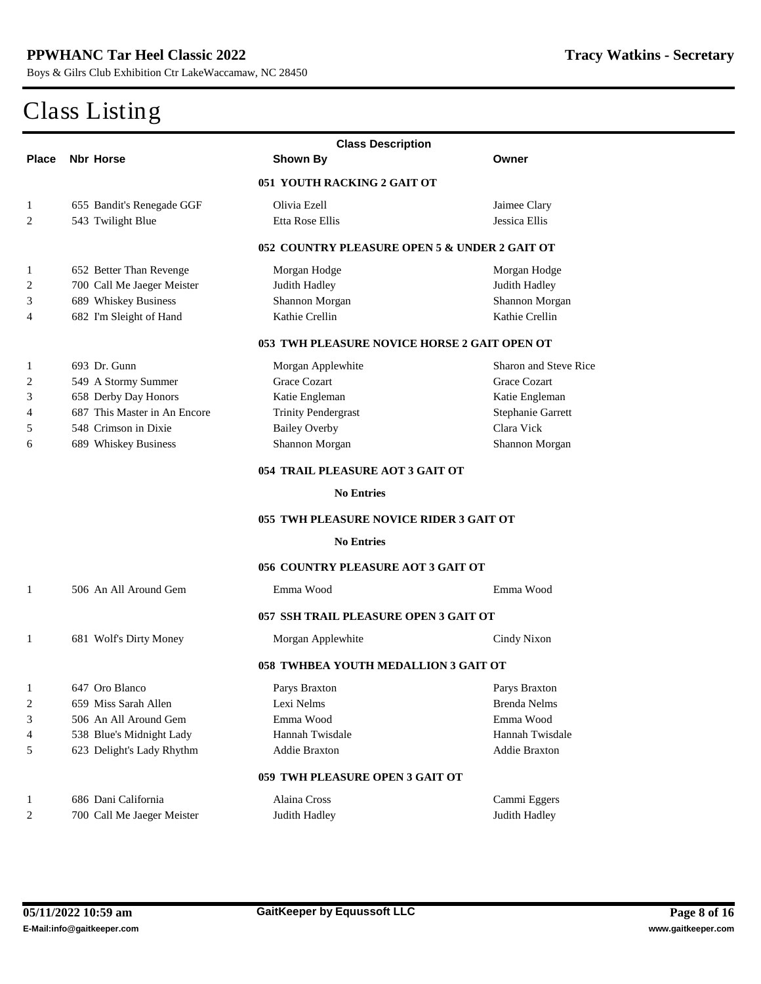|                  | <b>Class Description</b>                |                                               |                              |  |
|------------------|-----------------------------------------|-----------------------------------------------|------------------------------|--|
| <b>Place</b>     | <b>Nbr Horse</b>                        | <b>Shown By</b>                               | Owner                        |  |
|                  |                                         | 051 YOUTH RACKING 2 GAIT OT                   |                              |  |
| 1                | 655 Bandit's Renegade GGF               | <b>Olivia Ezell</b>                           | <b>Jaimee Clary</b>          |  |
| 2                | 543 Twilight Blue                       | <b>Etta Rose Ellis</b>                        | <b>Jessica Ellis</b>         |  |
|                  |                                         | 052 COUNTRY PLEASURE OPEN 5 & UNDER 2 GAIT OT |                              |  |
| 1                | <b>652 Better Than Revenge</b>          | <b>Morgan Hodge</b>                           | <b>Morgan Hodge</b>          |  |
| 2                | 700 Call Me Jaeger Meister              | <b>Judith Hadley</b>                          | <b>Judith Hadley</b>         |  |
| 3                | <b>689 Whiskey Business</b>             | <b>Shannon Morgan</b>                         | <b>Shannon Morgan</b>        |  |
| 4                | 682 I'm Sleight of Hand                 | <b>Kathie Crellin</b>                         | <b>Kathie Crellin</b>        |  |
|                  |                                         | 053 TWH PLEASURE NOVICE HORSE 2 GAIT OPEN OT  |                              |  |
| 1                | 693 Dr. Gunn                            | <b>Morgan Applewhite</b>                      | <b>Sharon and Steve Rice</b> |  |
| 2                | 549 A Stormy Summer                     | <b>Grace Cozart</b>                           | <b>Grace Cozart</b>          |  |
| 3                | <b>658 Derby Day Honors</b>             | Katie Engleman                                | <b>Katie Engleman</b>        |  |
| 4                | 687 This Master in An Encore            | <b>Trinity Pendergrast</b>                    | <b>Stephanie Garrett</b>     |  |
| 5                | 548 Crimson in Dixie                    | <b>Bailey Overby</b>                          | <b>Clara Vick</b>            |  |
| 6                | <b>689 Whiskey Business</b>             | <b>Shannon Morgan</b>                         | <b>Shannon Morgan</b>        |  |
|                  | <b>054 TRAIL PLEASURE AOT 3 GAIT OT</b> |                                               |                              |  |
|                  |                                         | <b>No Entries</b>                             |                              |  |
|                  |                                         | 055 TWH PLEASURE NOVICE RIDER 3 GAIT OT       |                              |  |
|                  |                                         | <b>No Entries</b>                             |                              |  |
|                  |                                         | <b>056 COUNTRY PLEASURE AOT 3 GAIT OT</b>     |                              |  |
| 1                | 506 An All Around Gem                   | Emma Wood                                     | Emma Wood                    |  |
|                  |                                         | 057 SSH TRAIL PLEASURE OPEN 3 GAIT OT         |                              |  |
| 1                | <b>681 Wolf's Dirty Money</b>           | <b>Morgan Applewhite</b>                      | <b>Cindy Nixon</b>           |  |
|                  |                                         | <b>058 TWHBEA YOUTH MEDALLION 3 GAIT OT</b>   |                              |  |
| 1                | 647 Oro Blanco                          | <b>Parys Braxton</b>                          | <b>Parys Braxton</b>         |  |
| $\boldsymbol{2}$ | 659 Miss Sarah Allen                    | Lexi Nelms                                    | <b>Brenda Nelms</b>          |  |
| 3                | 506 An All Around Gem                   | Emma Wood                                     | Emma Wood                    |  |
| 4                | 538 Blue's Midnight Lady                | <b>Hannah Twisdale</b>                        | <b>Hannah Twisdale</b>       |  |
| 5                | 623 Delight's Lady Rhythm               | <b>Addie Braxton</b>                          | <b>Addie Braxton</b>         |  |
|                  |                                         | 059 TWH PLEASURE OPEN 3 GAIT OT               |                              |  |
| 1                | 686 Dani California                     | <b>Alaina Cross</b>                           | <b>Cammi Eggers</b>          |  |
| $\boldsymbol{2}$ | 700 Call Me Jaeger Meister              | <b>Judith Hadley</b>                          | <b>Judith Hadley</b>         |  |
|                  |                                         |                                               |                              |  |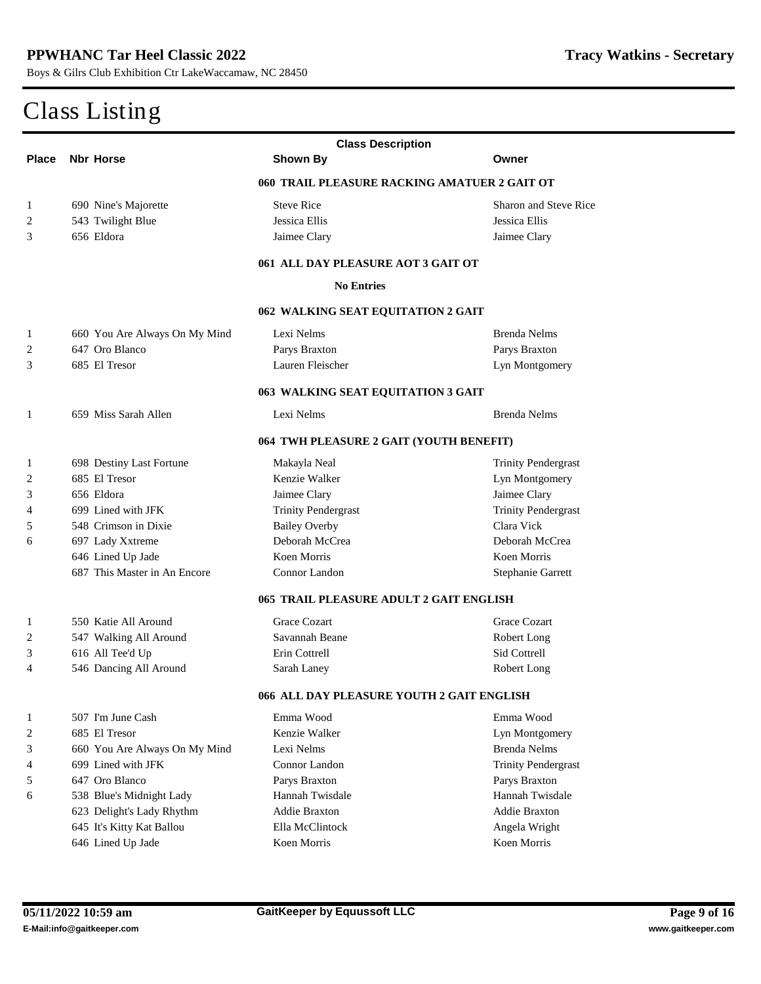| <b>Class Description</b> |                                         |                                              |                              |  |  |
|--------------------------|-----------------------------------------|----------------------------------------------|------------------------------|--|--|
| <b>Place</b>             | <b>Nbr Horse</b>                        | <b>Shown By</b>                              | Owner                        |  |  |
|                          |                                         | 060 TRAIL PLEASURE RACKING AMATUER 2 GAIT OT |                              |  |  |
| 1                        | 690 Nine's Majorette                    | <b>Steve Rice</b>                            | <b>Sharon and Steve Rice</b> |  |  |
| $\mathbf{2}$             | 543 Twilight Blue                       | <b>Jessica Ellis</b>                         | <b>Jessica Ellis</b>         |  |  |
| 3                        | 656 Eldora                              | Jaimee Clary                                 | Jaimee Clary                 |  |  |
|                          |                                         | 061 ALL DAY PLEASURE AOT 3 GAIT OT           |                              |  |  |
|                          |                                         | <b>No Entries</b>                            |                              |  |  |
|                          | 062 WALKING SEAT EQUITATION 2 GAIT      |                                              |                              |  |  |
| 1                        | 660 You Are Always On My Mind           | <b>Lexi Nelms</b>                            | <b>Brenda Nelms</b>          |  |  |
| 2                        | 647 Oro Blanco                          | <b>Parys Braxton</b>                         | <b>Parys Braxton</b>         |  |  |
| 3                        | 685 El Tresor                           | <b>Lauren Fleischer</b>                      | <b>Lyn Montgomery</b>        |  |  |
|                          |                                         |                                              |                              |  |  |
|                          |                                         | 063 WALKING SEAT EQUITATION 3 GAIT           |                              |  |  |
| 1                        | 659 Miss Sarah Allen                    | <b>Lexi Nelms</b>                            | <b>Brenda Nelms</b>          |  |  |
|                          | 064 TWH PLEASURE 2 GAIT (YOUTH BENEFIT) |                                              |                              |  |  |
| 1                        | <b>698 Destiny Last Fortune</b>         | Makayla Neal                                 | <b>Trinity Pendergrast</b>   |  |  |
| $\boldsymbol{2}$         | 685 El Tresor                           | <b>Kenzie Walker</b>                         | <b>Lyn Montgomery</b>        |  |  |
| 3                        | 656 Eldora                              | <b>Jaimee Clary</b>                          | <b>Jaimee Clary</b>          |  |  |
| 4                        | 699 Lined with JFK                      | <b>Trinity Pendergrast</b>                   | <b>Trinity Pendergrast</b>   |  |  |
| 5                        | 548 Crimson in Dixie                    | <b>Bailey Overby</b>                         | <b>Clara Vick</b>            |  |  |
| 6                        | 697 Lady Xxtreme                        | <b>Deborah McCrea</b>                        | <b>Deborah McCrea</b>        |  |  |
|                          | 646 Lined Up Jade                       | <b>Koen Morris</b>                           | <b>Koen Momis</b>            |  |  |
|                          | 687 This Master in An Encore            | <b>Connor Landon</b>                         | <b>Stephanie Garrett</b>     |  |  |
|                          |                                         | 065 TRAIL PLEASURE ADULT 2 GAIT ENGLISH      |                              |  |  |
| 1                        | 550 Katie All Around                    | <b>Grace Cozart</b>                          | <b>Grace Cozart</b>          |  |  |
| $\mathbf{2}$             | 547 Walking All Around                  | <b>Savannah Beane</b>                        | <b>Robert Long</b>           |  |  |
| 3                        | 616 All Tee'd Up                        | <b>Erin Cottrell</b>                         | <b>Sid Cottrell</b>          |  |  |
| 4                        | 546 Dancing All Around                  | <b>Sarah Laney</b>                           | <b>Robert Long</b>           |  |  |
|                          |                                         | 066 ALL DAY PLEASURE YOUTH 2 GAIT ENGLISH    |                              |  |  |
| 1                        | 507 I'm June Cash                       | Emma Wood                                    | Emma Wood                    |  |  |
| $\mathbf{2}$             | 685 El Tresor                           | <b>Kenzie Walker</b>                         | <b>Lyn Montgomery</b>        |  |  |
| 3                        | 660 You Are Always On My Mind           | <b>Lexi Nelms</b>                            | <b>Brenda Nelms</b>          |  |  |
| 4                        | 699 Lined with JFK                      | <b>Connor Landon</b>                         | <b>Trinity Pendergrast</b>   |  |  |
| 5                        | 647 Oro Blanco                          | <b>Parys Braxton</b>                         | <b>Parys Braxton</b>         |  |  |
| 6                        | 538 Blue's Midnight Lady                | <b>Hannah Twisdale</b>                       | <b>Hannah Twisdale</b>       |  |  |
|                          | 623 Delight's Lady Rhythm               | <b>Addie Braxton</b>                         | <b>Addie Braxton</b>         |  |  |
|                          | 645 It's Kitty Kat Ballou               | <b>Ella McClintock</b>                       | <b>Angela Wright</b>         |  |  |
|                          | 646 Lined Up Jade                       | <b>Koen Morris</b>                           | <b>Koen Morris</b>           |  |  |
|                          |                                         |                                              |                              |  |  |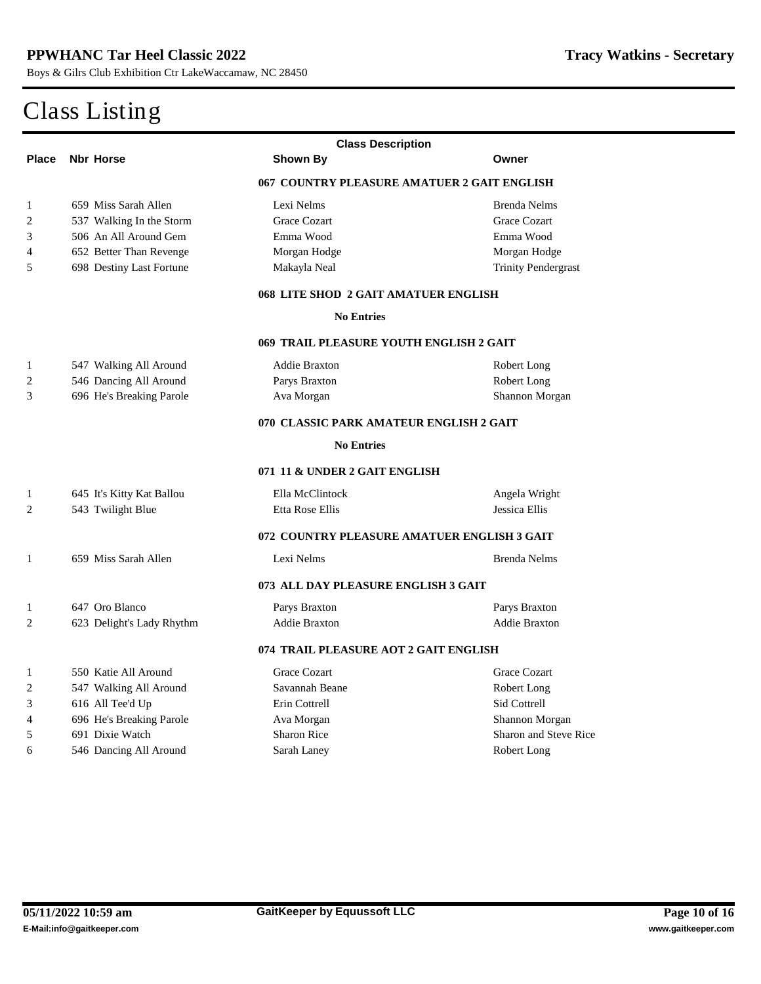|                  | <b>Class Description</b>        |                                             |                              |  |  |
|------------------|---------------------------------|---------------------------------------------|------------------------------|--|--|
| <b>Place</b>     | <b>Nbr Horse</b>                | <b>Shown By</b>                             | Owner                        |  |  |
|                  |                                 | 067 COUNTRY PLEASURE AMATUER 2 GAIT ENGLISH |                              |  |  |
| 1                | 659 Miss Sarah Allen            | <b>Lexi Nelms</b>                           | <b>Brenda Nelms</b>          |  |  |
| $\overline{2}$   | 537 Walking In the Storm        | <b>Grace Cozart</b>                         | <b>Grace Cozart</b>          |  |  |
| 3                | 506 An All Around Gem           | Emma Wood                                   | Emma Wood                    |  |  |
| 4                | <b>652 Better Than Revenge</b>  | <b>Morgan Hodge</b>                         | <b>Morgan Hodge</b>          |  |  |
| 5                | <b>698 Destiny Last Fortune</b> | <b>Makayla Neal</b>                         | <b>Trinity Pendergrast</b>   |  |  |
|                  |                                 | 068 LITE SHOD 2 GAIT AMATUER ENGLISH        |                              |  |  |
|                  |                                 | <b>No Entries</b>                           |                              |  |  |
|                  |                                 | 069 TRAIL PLEASURE YOUTH ENGLISH 2 GAIT     |                              |  |  |
| 1                | 547 Walking All Around          | <b>Addie Braxton</b>                        | <b>Robert Long</b>           |  |  |
| $\overline{2}$   | 546 Dancing All Around          | <b>Parys Braxton</b>                        | <b>Robert Long</b>           |  |  |
| 3                | 696 He's Breaking Parole        | <b>Ava Morgan</b>                           | <b>Shannon Morgan</b>        |  |  |
|                  |                                 | 070 CLASSIC PARK AMATEUR ENGLISH 2 GAIT     |                              |  |  |
|                  |                                 | <b>No Entries</b>                           |                              |  |  |
|                  |                                 | 071 11 & UNDER 2 GAIT ENGLISH               |                              |  |  |
| 1                | 645 It's Kitty Kat Ballou       | <b>Ella McClintock</b>                      | Angela Wright                |  |  |
| $\overline{2}$   | 543 Twilight Blue               | <b>Etta Rose Ellis</b>                      | <b>Jessica Ellis</b>         |  |  |
|                  |                                 | 072 COUNTRY PLEASURE AMATUER ENGLISH 3 GAIT |                              |  |  |
| 1                | 659 Miss Sarah Allen            | <b>Lexi Nelms</b>                           | <b>Brenda Nelms</b>          |  |  |
|                  |                                 | 073 ALL DAY PLEASURE ENGLISH 3 GAIT         |                              |  |  |
| 1                | 647 Oro Blanco                  | <b>Parys Braxton</b>                        | <b>Parys Braxton</b>         |  |  |
| $\mathbf{2}$     | 623 Delight's Lady Rhythm       | <b>Addie Braxton</b>                        | <b>Addie Braxton</b>         |  |  |
|                  |                                 | 074 TRAIL PLEASURE AOT 2 GAIT ENGLISH       |                              |  |  |
| 1                | 550 Katie All Around            | <b>Grace Cozart</b>                         | <b>Grace Cozart</b>          |  |  |
| $\boldsymbol{2}$ | 547 Walking All Around          | <b>Savannah Beane</b>                       | <b>Robert Long</b>           |  |  |
| 3                | 616 All Tee'd Up                | <b>Erin Cottrell</b>                        | <b>Sid Cottrell</b>          |  |  |
| 4                | 696 He's Breaking Parole        | Ava Morgan                                  | Shannon Morgan               |  |  |
| 5                | 691 Dixie Watch                 | <b>Sharon Rice</b>                          | <b>Sharon and Steve Rice</b> |  |  |
| 6                | 546 Dancing All Around          | <b>Sarah Laney</b>                          | <b>Robert Long</b>           |  |  |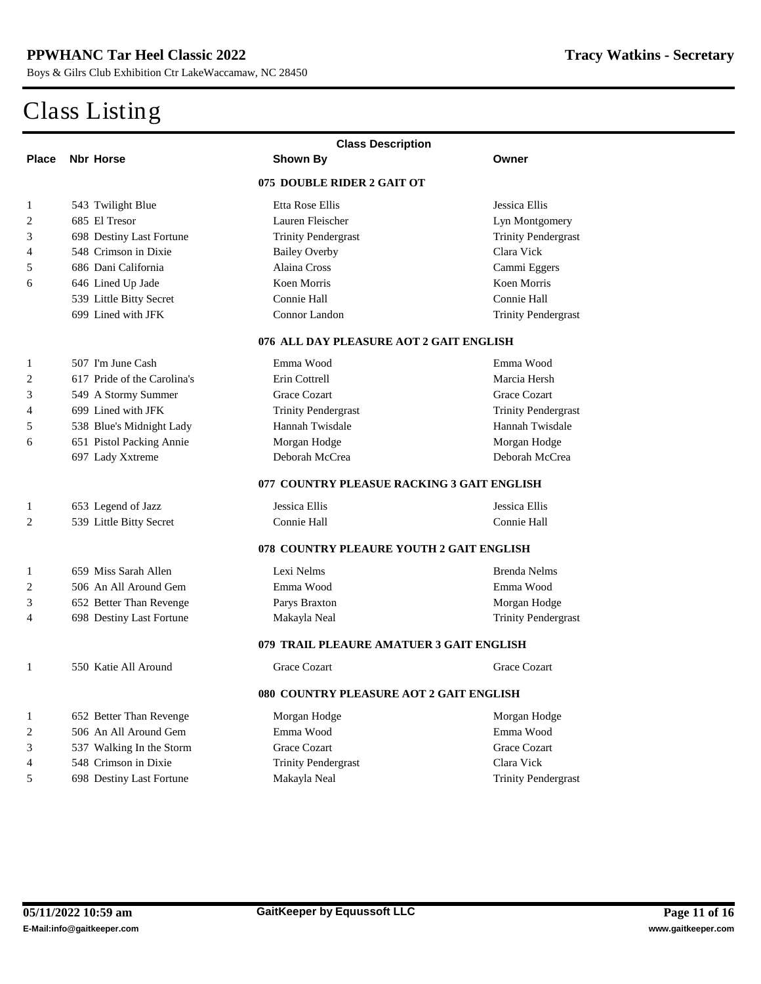|                  | <b>Class Description</b>                |                                            |                            |  |  |
|------------------|-----------------------------------------|--------------------------------------------|----------------------------|--|--|
| <b>Place</b>     | <b>Nbr Horse</b>                        | <b>Shown By</b>                            | Owner                      |  |  |
|                  |                                         | 075 DOUBLE RIDER 2 GAIT OT                 |                            |  |  |
| 1                | 543 Twilight Blue                       | <b>Etta Rose Ellis</b>                     | <b>Jessica Ellis</b>       |  |  |
| 2                | 685 El Tresor                           | <b>Lauren Fleischer</b>                    | <b>Lyn Montgomery</b>      |  |  |
| 3                | <b>698 Destiny Last Fortune</b>         | <b>Trinity Pendergrast</b>                 | <b>Trinity Pendergrast</b> |  |  |
| 4                | <b>548 Crimson in Dixie</b>             | <b>Bailey Overby</b>                       | Clara Vick                 |  |  |
| 5                | 686 Dani California                     | <b>Alaina Cross</b>                        | Cammi Eggers               |  |  |
| 6                | 646 Lined Up Jade                       | <b>Koen Momis</b>                          | Koen Morris                |  |  |
|                  | <b>539 Little Bitty Secret</b>          | <b>Connie Hall</b>                         | <b>Connie Hall</b>         |  |  |
|                  | 699 Lined with JFK                      | <b>Connor Landon</b>                       | <b>Trinity Pendergrast</b> |  |  |
|                  | 076 ALL DAY PLEASURE AOT 2 GAIT ENGLISH |                                            |                            |  |  |
| 1                | 507 I'm June Cash                       | Emma Wood                                  | Emma Wood                  |  |  |
| $\boldsymbol{2}$ | 617 Pride of the Carolina's             | <b>Erin Cottrell</b>                       | <b>Marcia Hersh</b>        |  |  |
| 3                | 549 A Stormy Summer                     | <b>Grace Cozart</b>                        | <b>Grace Cozart</b>        |  |  |
| 4                | 699 Lined with JFK                      | <b>Trinity Pendergrast</b>                 | <b>Trinity Pendergrast</b> |  |  |
| 5                | 538 Blue's Midnight Lady                | <b>Hannah Twisdale</b>                     | <b>Hannah Twisdale</b>     |  |  |
| 6                | 651 Pistol Packing Annie                | <b>Morgan Hodge</b>                        | <b>Morgan Hodge</b>        |  |  |
|                  | 697 Lady Xxtreme                        | <b>Deborah McCrea</b>                      | <b>Deborah McCrea</b>      |  |  |
|                  |                                         | 077 COUNTRY PLEASUE RACKING 3 GAIT ENGLISH |                            |  |  |
| 1                | 653 Legend of Jazz                      | <b>Jessica Ellis</b>                       | <b>Jessica Ellis</b>       |  |  |
| 2                | 539 Little Bitty Secret                 | <b>Connie Hall</b>                         | <b>Connie Hall</b>         |  |  |
|                  |                                         | 078 COUNTRY PLEAURE YOUTH 2 GAIT ENGLISH   |                            |  |  |
| 1                | 659 Miss Sarah Allen                    | Lexi Nelms                                 | <b>Brenda Nelms</b>        |  |  |
| 2                | 506 An All Around Gem                   | Emma Wood                                  | Emma Wood                  |  |  |
| 3                | <b>652 Better Than Revenge</b>          | <b>Parys Braxton</b>                       | <b>Morgan Hodge</b>        |  |  |
| 4                | <b>698 Destiny Last Fortune</b>         | Makayla Neal                               | <b>Trinity Pendergrast</b> |  |  |
|                  |                                         | 079 TRAIL PLEAURE AMATUER 3 GAIT ENGLISH   |                            |  |  |
| 1                | 550 Katie All Around                    | <b>Grace Cozart</b>                        | <b>Grace Cozart</b>        |  |  |
|                  |                                         | 080 COUNTRY PLEASURE AOT 2 GAIT ENGLISH    |                            |  |  |
| 1                | <b>652 Better Than Revenge</b>          | <b>Morgan Hodge</b>                        | <b>Morgan Hodge</b>        |  |  |
| 2                | 506 An All Around Gem                   | Emma Wood                                  | Emma Wood                  |  |  |
| 3                | 537 Walking In the Storm                | <b>Grace Cozart</b>                        | <b>Grace Cozart</b>        |  |  |
| 4                | 548 Crimson in Dixie                    | <b>Trinity Pendergrast</b>                 | <b>Clara Vick</b>          |  |  |
| 5                | <b>698 Destiny Last Fortune</b>         | Makayla Neal                               | <b>Trinity Pendergrast</b> |  |  |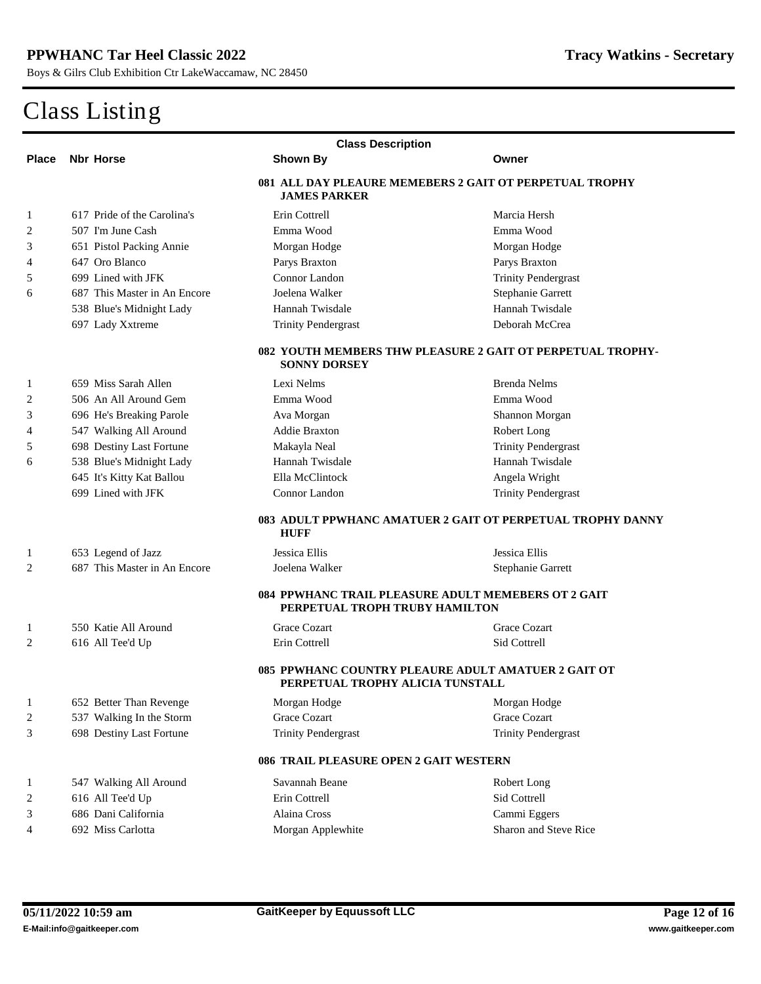| <b>Class Description</b>                                                                 |                                                                                |                                                                                         |                                                            |  |  |
|------------------------------------------------------------------------------------------|--------------------------------------------------------------------------------|-----------------------------------------------------------------------------------------|------------------------------------------------------------|--|--|
| <b>Place</b>                                                                             | <b>Nbr Horse</b>                                                               | <b>Shown By</b>                                                                         | Owner                                                      |  |  |
|                                                                                          | 081 ALL DAY PLEAURE MEMEBERS 2 GAIT OT PERPETUAL TROPHY<br><b>JAMES PARKER</b> |                                                                                         |                                                            |  |  |
| 1                                                                                        | 617 Pride of the Carolina's                                                    | <b>Erin Cottrell</b>                                                                    | <b>Marcia Hersh</b>                                        |  |  |
| 2                                                                                        | 507 I'm June Cash                                                              | Emma Wood                                                                               | Emma Wood                                                  |  |  |
| 3                                                                                        | <b>651 Pistol Packing Annie</b>                                                | <b>Morgan Hodge</b>                                                                     | <b>Morgan Hodge</b>                                        |  |  |
| 4                                                                                        | 647 Oro Blanco                                                                 | <b>Parys Braxton</b>                                                                    | <b>Parys Braxton</b>                                       |  |  |
| 5                                                                                        | 699 Lined with JFK                                                             | <b>Connor Landon</b>                                                                    | <b>Trinity Pendergrast</b>                                 |  |  |
| 6                                                                                        | 687 This Master in An Encore                                                   | <b>Joelena Walker</b>                                                                   | <b>Stephanie Garrett</b>                                   |  |  |
|                                                                                          | 538 Blue's Midnight Lady                                                       | <b>Hannah Twisdale</b>                                                                  | <b>Hannah Twisdale</b>                                     |  |  |
|                                                                                          | 697 Lady Xxtreme                                                               | <b>Trinity Pendergrast</b>                                                              | Deborah McCrea                                             |  |  |
| <b>082 YOUTH MEMBERS THW PLEASURE 2 GAIT OT PERPETUAL TROPHY-</b><br><b>SONNY DORSEY</b> |                                                                                |                                                                                         |                                                            |  |  |
| 1                                                                                        | 659 Miss Sarah Allen                                                           | <b>Lexi Nelms</b>                                                                       | <b>Brenda Nelms</b>                                        |  |  |
| 2                                                                                        | 506 An All Around Gem                                                          | Emma Wood                                                                               | Emma Wood                                                  |  |  |
| 3                                                                                        | 696 He's Breaking Parole                                                       | <b>Ava Morgan</b>                                                                       | <b>Shannon Morgan</b>                                      |  |  |
| 4                                                                                        | 547 Walking All Around                                                         | <b>Addie Braxton</b>                                                                    | <b>Robert Long</b>                                         |  |  |
| 5                                                                                        | <b>698 Destiny Last Fortune</b>                                                | Makayla Neal                                                                            | <b>Trinity Pendergrast</b>                                 |  |  |
| 6                                                                                        | 538 Blue's Midnight Lady                                                       | <b>Hannah Twisdale</b>                                                                  | <b>Hannah Twisdale</b>                                     |  |  |
|                                                                                          | 645 It's Kitty Kat Ballou                                                      | <b>Ella McClintock</b>                                                                  | <b>Angela Wright</b>                                       |  |  |
|                                                                                          | 699 Lined with JFK                                                             | <b>Connor Landon</b>                                                                    | <b>Trinity Pendergrast</b>                                 |  |  |
|                                                                                          |                                                                                | <b>HUFF</b>                                                                             | 083 ADULT PPWHANC AMATUER 2 GAIT OT PERPETUAL TROPHY DANNY |  |  |
| 1                                                                                        | 653 Legend of Jazz                                                             | <b>Jessica Ellis</b>                                                                    | <b>Jessica Ellis</b>                                       |  |  |
| 2                                                                                        | 687 This Master in An Encore                                                   | <b>Joelena Walker</b>                                                                   | <b>Stephanie Garrett</b>                                   |  |  |
|                                                                                          |                                                                                | 084 PPWHANC TRAIL PLEASURE ADULT MEMEBERS OT 2 GAIT<br>PERPETUAL TROPH TRUBY HAMILTON   |                                                            |  |  |
| 1                                                                                        | 550 Katie All Around                                                           | <b>Grace Cozart</b>                                                                     | <b>Grace Cozart</b>                                        |  |  |
| 2                                                                                        | 616 All Tee'd Up                                                               | <b>Erin Cottrell</b>                                                                    | <b>Sid Cottrell</b>                                        |  |  |
|                                                                                          |                                                                                | 085 PPWHANC COUNTRY PLEAURE ADULT AMATUER 2 GAIT OT<br>PERPETUAL TROPHY ALICIA TUNSTALL |                                                            |  |  |
| $\mathbf{1}$                                                                             | <b>652 Better Than Revenge</b>                                                 | <b>Morgan Hodge</b>                                                                     | <b>Morgan Hodge</b>                                        |  |  |
| 2                                                                                        | 537 Walking In the Storm                                                       | <b>Grace Cozart</b>                                                                     | <b>Grace Cozart</b>                                        |  |  |
| 3                                                                                        | <b>698 Destiny Last Fortune</b>                                                | <b>Trinity Pendergrast</b>                                                              | <b>Trinity Pendergrast</b>                                 |  |  |
|                                                                                          |                                                                                | <b>086 TRAIL PLEASURE OPEN 2 GAIT WESTERN</b>                                           |                                                            |  |  |
| 1                                                                                        | 547 Walking All Around                                                         | <b>Savannah Beane</b>                                                                   | <b>Robert Long</b>                                         |  |  |
| 2                                                                                        | 616 All Tee'd Up                                                               | <b>Erin Cottrell</b>                                                                    | <b>Sid Cottrell</b>                                        |  |  |
| 3                                                                                        | 686 Dani California                                                            | <b>Alaina Cross</b>                                                                     | <b>Cammi Eggers</b>                                        |  |  |
| 4                                                                                        | 692 Miss Carlotta                                                              | <b>Morgan Applewhite</b>                                                                | <b>Sharon and Steve Rice</b>                               |  |  |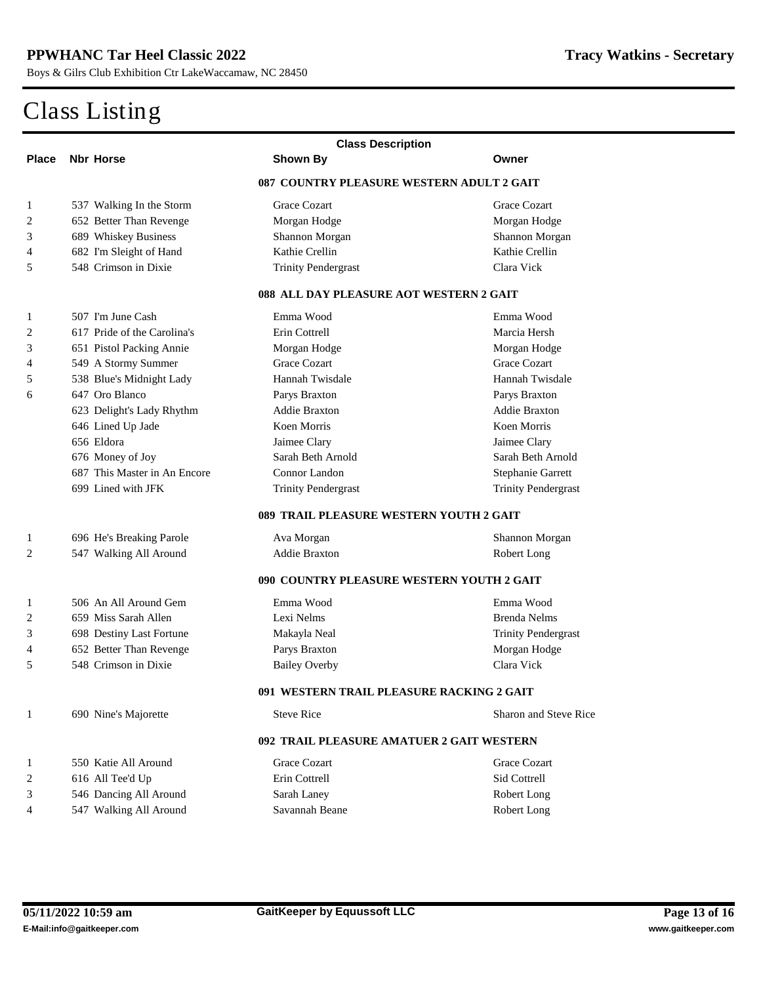| <b>Class Description</b> |                                                  |                                           |                              |  |  |  |
|--------------------------|--------------------------------------------------|-------------------------------------------|------------------------------|--|--|--|
| <b>Place</b>             | <b>Nbr Horse</b>                                 | <b>Shown By</b>                           | Owner                        |  |  |  |
|                          | 087 COUNTRY PLEASURE WESTERN ADULT 2 GAIT        |                                           |                              |  |  |  |
| 1                        | 537 Walking In the Storm                         | <b>Grace Cozart</b>                       | <b>Grace Cozart</b>          |  |  |  |
| 2                        | <b>652 Better Than Revenge</b>                   | <b>Morgan Hodge</b>                       | <b>Morgan Hodge</b>          |  |  |  |
| 3                        | <b>689 Whiskey Business</b>                      | <b>Shannon Morgan</b>                     | <b>Shannon Morgan</b>        |  |  |  |
| 4                        | 682 I'm Sleight of Hand                          | <b>Kathie Crellin</b>                     | <b>Kathie Crellin</b>        |  |  |  |
| 5                        | 548 Crimson in Dixie                             | <b>Trinity Pendergrast</b>                | <b>Clara Vick</b>            |  |  |  |
|                          | <b>088 ALL DAY PLEASURE AOT WESTERN 2 GAIT</b>   |                                           |                              |  |  |  |
| 1                        | 507 I'm June Cash                                | Emma Wood                                 | Emma Wood                    |  |  |  |
| $\mathbf{2}$             | 617 Pride of the Carolina's                      | <b>Erin Cottrell</b>                      | <b>Marcia Hersh</b>          |  |  |  |
| 3                        | <b>651 Pistol Packing Annie</b>                  | <b>Morgan Hodge</b>                       | <b>Morgan Hodge</b>          |  |  |  |
| 4                        | 549 A Stormy Summer                              | <b>Grace Cozart</b>                       | <b>Grace Cozart</b>          |  |  |  |
| 5                        | 538 Blue's Midnight Lady                         | <b>Hannah Twisdale</b>                    | <b>Hannah Twisdale</b>       |  |  |  |
| 6                        | 647 Oro Blanco                                   | <b>Parys Braxton</b>                      | <b>Parys Braxton</b>         |  |  |  |
|                          | 623 Delight's Lady Rhythm                        | <b>Addie Braxton</b>                      | <b>Addie Braxton</b>         |  |  |  |
|                          | 646 Lined Up Jade                                | <b>Koen Momis</b>                         | <b>Koen Morris</b>           |  |  |  |
|                          | 656 Eldora                                       | <b>Jaimee Clary</b>                       | <b>Jaimee Clary</b>          |  |  |  |
|                          | 676 Money of Joy                                 | <b>Sarah Beth Arnold</b>                  | <b>Sarah Beth Arnold</b>     |  |  |  |
|                          | 687 This Master in An Encore                     | <b>Connor Landon</b>                      | <b>Stephanie Garrett</b>     |  |  |  |
|                          | 699 Lined with JFK                               | <b>Trinity Pendergrast</b>                | <b>Trinity Pendergrast</b>   |  |  |  |
|                          | 089 TRAIL PLEASURE WESTERN YOUTH 2 GAIT          |                                           |                              |  |  |  |
| 1                        | 696 He's Breaking Parole                         | <b>Ava Morgan</b>                         | <b>Shannon Morgan</b>        |  |  |  |
| $\mathbf{2}$             | 547 Walking All Around                           | <b>Addie Braxton</b>                      | <b>Robert Long</b>           |  |  |  |
|                          | <b>090 COUNTRY PLEASURE WESTERN YOUTH 2 GAIT</b> |                                           |                              |  |  |  |
| 1                        | 506 An All Around Gem                            | Emma Wood                                 | Emma Wood                    |  |  |  |
| 2                        | 659 Miss Sarah Allen                             | Lexi Nelms                                | <b>Brenda Nelms</b>          |  |  |  |
| 3                        | <b>698 Destiny Last Fortune</b>                  | Makayla Neal                              | <b>Trinity Pendergrast</b>   |  |  |  |
| 4                        | <b>652 Better Than Revenge</b>                   | <b>Parys Braxton</b>                      | <b>Morgan Hodge</b>          |  |  |  |
| 5                        | 548 Crimson in Dixie                             | <b>Bailey Overby</b>                      | <b>Clara Vick</b>            |  |  |  |
|                          |                                                  | 091 WESTERN TRAIL PLEASURE RACKING 2 GAIT |                              |  |  |  |
| 1                        | <b>690 Nine's Majorette</b>                      | <b>Steve Rice</b>                         | <b>Sharon and Steve Rice</b> |  |  |  |
|                          | 092 TRAIL PLEASURE AMATUER 2 GAIT WESTERN        |                                           |                              |  |  |  |
| 1                        | 550 Katie All Around                             | <b>Grace Cozart</b>                       | <b>Grace Cozart</b>          |  |  |  |
| $\mathbf{2}$             | 616 All Tee'd Up                                 | <b>Erin Cottrell</b>                      | <b>Sid Cottrell</b>          |  |  |  |
| 3                        | 546 Dancing All Around                           | <b>Sarah Laney</b>                        | <b>Robert Long</b>           |  |  |  |
| 4                        | 547 Walking All Around                           | <b>Savannah Beane</b>                     | <b>Robert Long</b>           |  |  |  |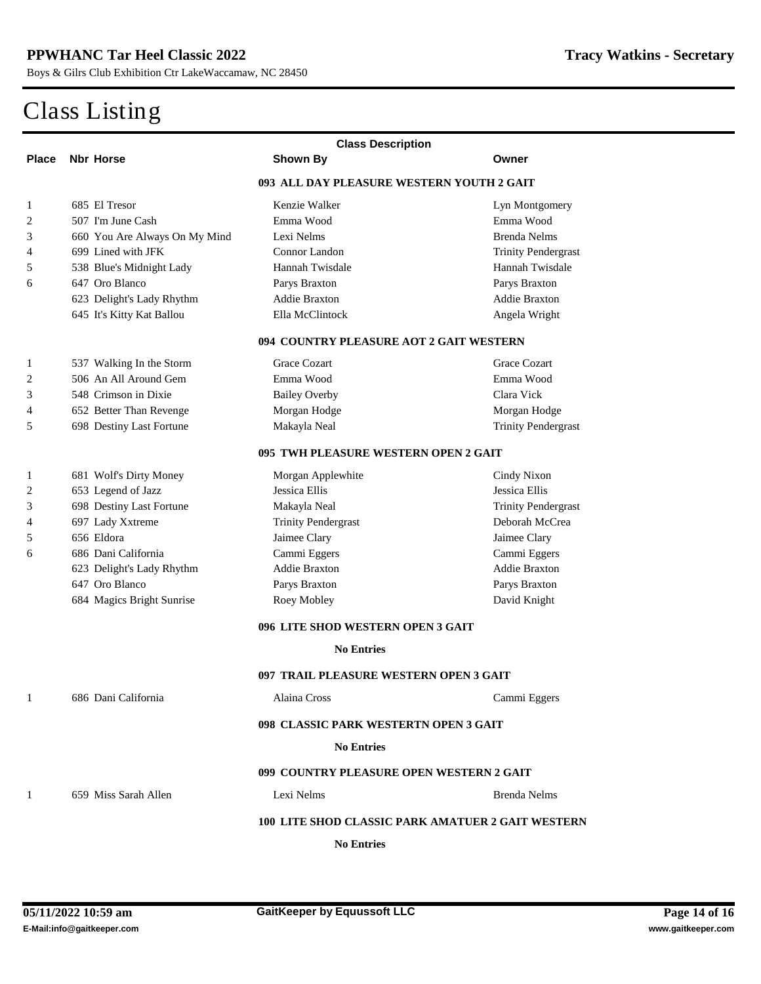|                                         | <b>Class Description</b>                                 |                                        |                            |  |  |  |
|-----------------------------------------|----------------------------------------------------------|----------------------------------------|----------------------------|--|--|--|
| <b>Place</b>                            | <b>Nbr Horse</b>                                         | <b>Shown By</b>                        | Owner                      |  |  |  |
|                                         | 093 ALL DAY PLEASURE WESTERN YOUTH 2 GAIT                |                                        |                            |  |  |  |
| 1                                       | 685 El Tresor                                            | <b>Kenzie Walker</b>                   | <b>Lyn Montgomery</b>      |  |  |  |
| 2                                       | 507 I'm June Cash                                        | Emma Wood                              | Emma Wood                  |  |  |  |
| 3                                       | 660 You Are Always On My Mind                            | <b>Lexi Nelms</b>                      | <b>Brenda Nelms</b>        |  |  |  |
| 4                                       | 699 Lined with JFK                                       | <b>Connor Landon</b>                   | <b>Trinity Pendergrast</b> |  |  |  |
| 5                                       | 538 Blue's Midnight Lady                                 | <b>Hannah Twisdale</b>                 | <b>Hannah Twisdale</b>     |  |  |  |
| 6                                       | 647 Oro Blanco                                           | <b>Parys Braxton</b>                   | <b>Parys Braxton</b>       |  |  |  |
|                                         | 623 Delight's Lady Rhythm                                | <b>Addie Braxton</b>                   | <b>Addie Braxton</b>       |  |  |  |
|                                         | 645 It's Kitty Kat Ballou                                | <b>Ella McClintock</b>                 | <b>Angela Wright</b>       |  |  |  |
| 094 COUNTRY PLEASURE AOT 2 GAIT WESTERN |                                                          |                                        |                            |  |  |  |
| 1                                       | 537 Walking In the Storm                                 | <b>Grace Cozart</b>                    | <b>Grace Cozart</b>        |  |  |  |
| 2                                       | 506 An All Around Gem                                    | Emma Wood                              | Emma Wood                  |  |  |  |
| 3                                       | 548 Crimson in Dixie                                     | <b>Bailey Overby</b>                   | <b>Clara Vick</b>          |  |  |  |
| 4                                       | <b>652 Better Than Revenge</b>                           | <b>Morgan Hodge</b>                    | <b>Morgan Hodge</b>        |  |  |  |
| 5                                       | <b>698 Destiny Last Fortune</b>                          | Makayla Neal                           | <b>Trinity Pendergrast</b> |  |  |  |
| 095 TWH PLEASURE WESTERN OPEN 2 GAIT    |                                                          |                                        |                            |  |  |  |
| 1                                       | <b>681 Wolf's Dirty Money</b>                            | <b>Morgan Applewhite</b>               | <b>Cindy Nixon</b>         |  |  |  |
| 2                                       | 653 Legend of Jazz                                       | <b>Jessica Ellis</b>                   | <b>Jessica Ellis</b>       |  |  |  |
| 3                                       | <b>698 Destiny Last Fortune</b>                          | Makayla Neal                           | <b>Trinity Pendergrast</b> |  |  |  |
| 4                                       | 697 Lady Xxtreme                                         | <b>Trinity Pendergrast</b>             | <b>Deborah McCrea</b>      |  |  |  |
| 5                                       | 656 Eldora                                               | <b>Jaimee Clary</b>                    | <b>Jaimee Clary</b>        |  |  |  |
| 6                                       | 686 Dani California                                      | <b>Cammi Eggers</b>                    | <b>Cammi Eggers</b>        |  |  |  |
|                                         | 623 Delight's Lady Rhythm                                | <b>Addie Braxton</b>                   | <b>Addie Braxton</b>       |  |  |  |
|                                         | 647 Oro Blanco                                           | Parys Braxton                          | <b>Parys Braxton</b>       |  |  |  |
|                                         | 684 Magics Bright Sunrise                                | <b>Roey Mobley</b>                     | <b>David Knight</b>        |  |  |  |
|                                         |                                                          | 096 LITE SHOD WESTERN OPEN 3 GAIT      |                            |  |  |  |
|                                         |                                                          | <b>No Entries</b>                      |                            |  |  |  |
|                                         |                                                          | 097 TRAIL PLEASURE WESTERN OPEN 3 GAIT |                            |  |  |  |
| 1                                       | 686 Dani California                                      | <b>Alaina Cross</b>                    | Cammi Eggers               |  |  |  |
|                                         | 098 CLASSIC PARK WESTERTN OPEN 3 GAIT                    |                                        |                            |  |  |  |
| <b>No Entries</b>                       |                                                          |                                        |                            |  |  |  |
|                                         | 099 COUNTRY PLEASURE OPEN WESTERN 2 GAIT                 |                                        |                            |  |  |  |
| 1                                       | 659 Miss Sarah Allen                                     | <b>Lexi Nelms</b>                      | <b>Brenda Nelms</b>        |  |  |  |
|                                         | <b>100 LITE SHOD CLASSIC PARK AMATUER 2 GAIT WESTERN</b> |                                        |                            |  |  |  |
| <b>No Entries</b>                       |                                                          |                                        |                            |  |  |  |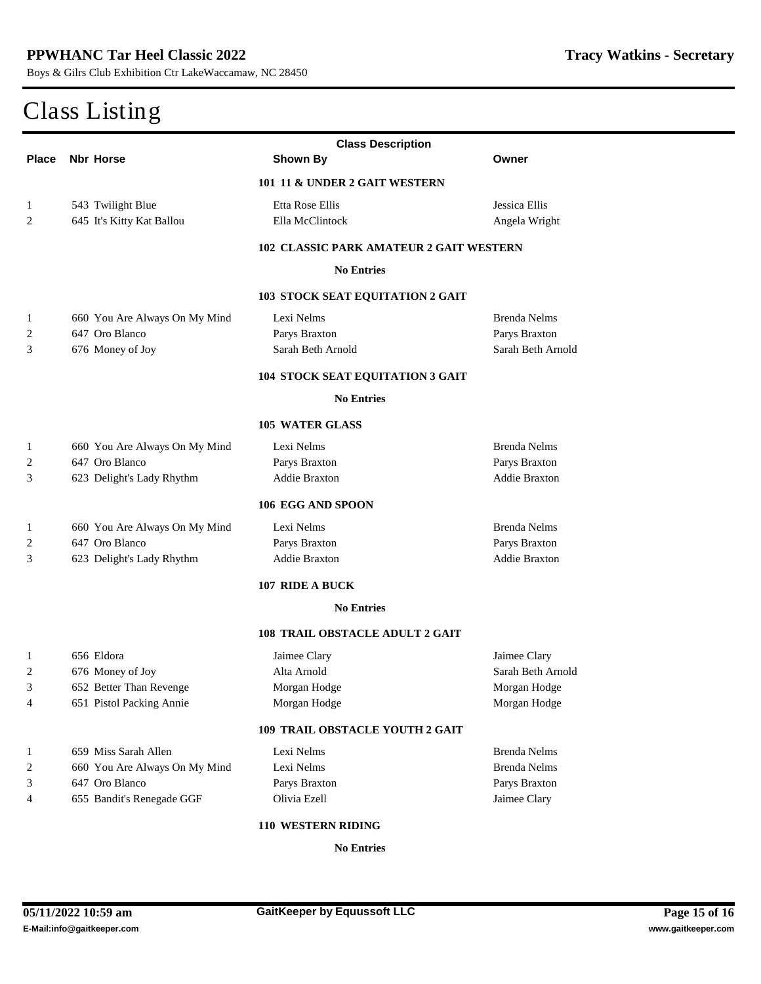| <b>Class Description</b>               |                                                |                          |                          |  |  |  |  |
|----------------------------------------|------------------------------------------------|--------------------------|--------------------------|--|--|--|--|
| <b>Place</b>                           | <b>Nbr Horse</b>                               | <b>Shown By</b>          | Owner                    |  |  |  |  |
| 101 11 & UNDER 2 GAIT WESTERN          |                                                |                          |                          |  |  |  |  |
| 1                                      | 543 Twilight Blue                              | <b>Etta Rose Ellis</b>   | <b>Jessica Ellis</b>     |  |  |  |  |
| $\overline{2}$                         | 645 It's Kitty Kat Ballou                      | <b>Ella McClintock</b>   | <b>Angela Wright</b>     |  |  |  |  |
|                                        | <b>102 CLASSIC PARK AMATEUR 2 GAIT WESTERN</b> |                          |                          |  |  |  |  |
| <b>No Entries</b>                      |                                                |                          |                          |  |  |  |  |
| 103 STOCK SEAT EQUITATION 2 GAIT       |                                                |                          |                          |  |  |  |  |
| 1                                      | 660 You Are Always On My Mind                  | Lexi Nelms               | <b>Brenda Nelms</b>      |  |  |  |  |
| 2                                      | 647 Oro Blanco                                 | <b>Parys Braxton</b>     | <b>Parys Braxton</b>     |  |  |  |  |
| 3                                      | 676 Money of Joy                               | <b>Sarah Beth Arnold</b> | <b>Sarah Beth Arnold</b> |  |  |  |  |
|                                        | 104 STOCK SEAT EQUITATION 3 GAIT               |                          |                          |  |  |  |  |
| <b>No Entries</b>                      |                                                |                          |                          |  |  |  |  |
|                                        |                                                | <b>105 WATER GLASS</b>   |                          |  |  |  |  |
| 1                                      | 660 You Are Always On My Mind                  | Lexi Nelms               | <b>Brenda Nelms</b>      |  |  |  |  |
| 2                                      | 647 Oro Blanco                                 | <b>Parys Braxton</b>     | <b>Parys Braxton</b>     |  |  |  |  |
| 3                                      | 623 Delight's Lady Rhythm                      | <b>Addie Braxton</b>     | <b>Addie Braxton</b>     |  |  |  |  |
|                                        |                                                | 106 EGG AND SPOON        |                          |  |  |  |  |
| 1                                      | 660 You Are Always On My Mind                  | Lexi Nelms               | <b>Brenda Nelms</b>      |  |  |  |  |
| 2                                      | 647 Oro Blanco                                 | Parys Braxton            | <b>Parys Braxton</b>     |  |  |  |  |
| 3                                      | 623 Delight's Lady Rhythm                      | <b>Addie Braxton</b>     | <b>Addie Braxton</b>     |  |  |  |  |
|                                        |                                                | 107 RIDE A BUCK          |                          |  |  |  |  |
|                                        |                                                | <b>No Entries</b>        |                          |  |  |  |  |
| <b>108 TRAIL OBSTACLE ADULT 2 GAIT</b> |                                                |                          |                          |  |  |  |  |
| 1                                      | 656 Eldora                                     | Jaimee Clary             | <b>Jaimee Clary</b>      |  |  |  |  |
| $\boldsymbol{2}$                       | 676 Money of Joy                               | Alta Amold               | <b>Sarah Beth Arnold</b> |  |  |  |  |
| 3                                      | <b>652 Better Than Revenge</b>                 | <b>Morgan Hodge</b>      | <b>Morgan Hodge</b>      |  |  |  |  |
| 4                                      | <b>651 Pistol Packing Annie</b>                | <b>Morgan Hodge</b>      | <b>Morgan Hodge</b>      |  |  |  |  |
| <b>109 TRAIL OBSTACLE YOUTH 2 GAIT</b> |                                                |                          |                          |  |  |  |  |
| 1                                      | 659 Miss Sarah Allen                           | Lexi Nelms               | <b>Brenda Nelms</b>      |  |  |  |  |
| 2                                      | 660 You Are Always On My Mind                  | Lexi Nelms               | <b>Brenda Nelms</b>      |  |  |  |  |
| 3                                      | 647 Oro Blanco                                 | <b>Parys Braxton</b>     | <b>Parys Braxton</b>     |  |  |  |  |
| 4                                      | 655 Bandit's Renegade GGF                      | <b>Olivia Ezell</b>      | <b>Jaimee Clary</b>      |  |  |  |  |
| 110 WESTERN RIDING                     |                                                |                          |                          |  |  |  |  |
|                                        |                                                |                          |                          |  |  |  |  |

**No Entries**